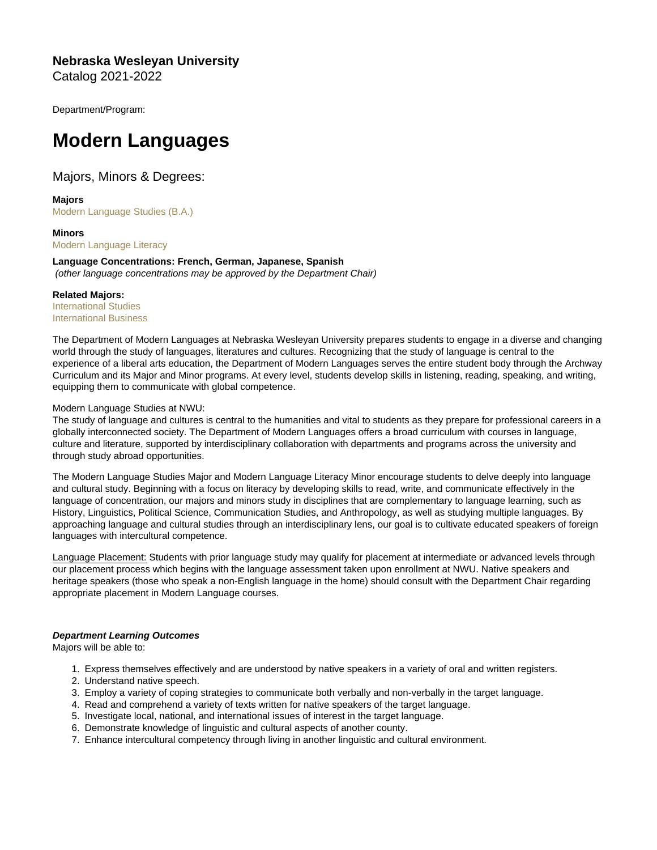Nebraska Wesleyan University Catalog 2021-2022

Department/Program:

# Modern Languages

# Majors, Minors & Degrees:

Majors [Modern Language Studies \(B.A.\)](https://catalog.nebrwesleyan.edu/cc/2021-2022/mmd/363374)

Minors [Modern Language Literacy](https://catalog.nebrwesleyan.edu/cc/2021-2022/mmd/363375)

Language Concentrations: French, German, Japanese, Spanish (other language concentrations may be approved by the Department Chair)

Related Majors: [International Studies](https://www.nebrwesleyan.edu/academics/majors-and-minors/international-studies/international-studies-degree) [International Business](https://www.nebrwesleyan.edu/academics/majors-and-minors/business/business-degrees/international-business-ba)

The Department of Modern Languages at Nebraska Wesleyan University prepares students to engage in a diverse and changing world through the study of languages, literatures and cultures. Recognizing that the study of language is central to the experience of a liberal arts education, the Department of Modern Languages serves the entire student body through the Archway Curriculum and its Major and Minor programs. At every level, students develop skills in listening, reading, speaking, and writing, equipping them to communicate with global competence.

## Modern Language Studies at NWU:

The study of language and cultures is central to the humanities and vital to students as they prepare for professional careers in a globally interconnected society. The Department of Modern Languages offers a broad curriculum with courses in language, culture and literature, supported by interdisciplinary collaboration with departments and programs across the university and through study abroad opportunities.

The Modern Language Studies Major and Modern Language Literacy Minor encourage students to delve deeply into language and cultural study. Beginning with a focus on literacy by developing skills to read, write, and communicate effectively in the language of concentration, our majors and minors study in disciplines that are complementary to language learning, such as History, Linguistics, Political Science, Communication Studies, and Anthropology, as well as studying multiple languages. By approaching language and cultural studies through an interdisciplinary lens, our goal is to cultivate educated speakers of foreign languages with intercultural competence.

Language Placement: Students with prior language study may qualify for placement at intermediate or advanced levels through our placement process which begins with the language assessment taken upon enrollment at NWU. Native speakers and heritage speakers (those who speak a non-English language in the home) should consult with the Department Chair regarding appropriate placement in Modern Language courses.

Department Learning Outcomes Majors will be able to:

1. Express themselves effectively and are understood by native speakers in a variety of oral and written registers.

- 2. Understand native speech.
- 3. Employ a variety of coping strategies to communicate both verbally and non-verbally in the target language.
- 4. Read and comprehend a variety of texts written for native speakers of the target language.
- 5. Investigate local, national, and international issues of interest in the target language.
- 6. Demonstrate knowledge of linguistic and cultural aspects of another county.
- 7. Enhance intercultural competency through living in another linguistic and cultural environment.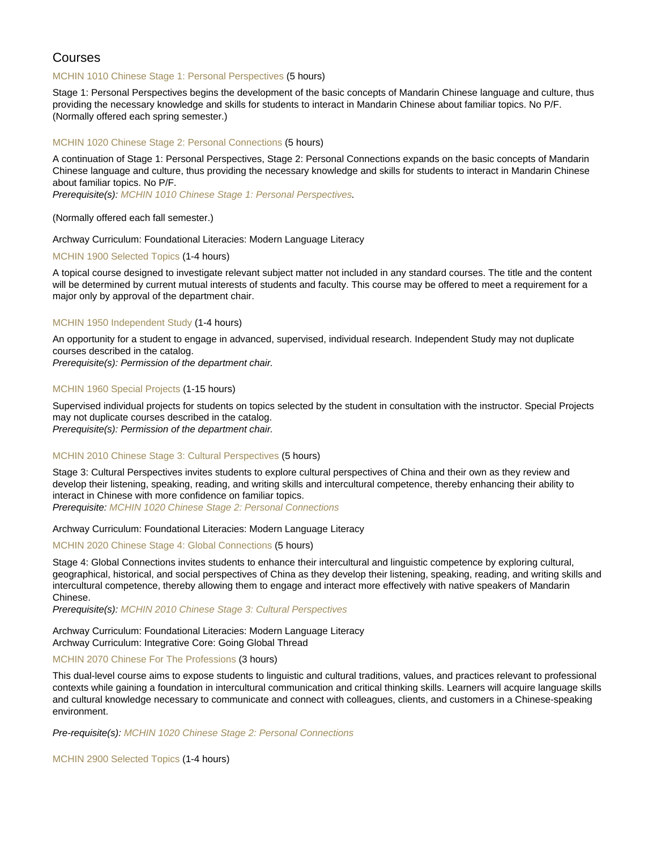# Courses

## [MCHIN 1010 Chinese Stage 1: Personal Perspectives](https://catalog.nebrwesleyan.edu/node/362585) (5 hours)

Stage 1: Personal Perspectives begins the development of the basic concepts of Mandarin Chinese language and culture, thus providing the necessary knowledge and skills for students to interact in Mandarin Chinese about familiar topics. No P/F. (Normally offered each spring semester.)

## [MCHIN 1020 Chinese Stage 2: Personal Connections](https://catalog.nebrwesleyan.edu/node/362586) (5 hours)

A continuation of Stage 1: Personal Perspectives, Stage 2: Personal Connections expands on the basic concepts of Mandarin Chinese language and culture, thus providing the necessary knowledge and skills for students to interact in Mandarin Chinese about familiar topics. No P/F.

Prerequisite(s): [MCHIN 1010 Chinese Stage 1: Personal Perspectives](https://catalog.nebrwesleyan.edu/cc/2021-2022/course/362585).

## (Normally offered each fall semester.)

## Archway Curriculum: Foundational Literacies: Modern Language Literacy

## [MCHIN 1900 Selected Topics](https://catalog.nebrwesleyan.edu/node/362587) (1-4 hours)

A topical course designed to investigate relevant subject matter not included in any standard courses. The title and the content will be determined by current mutual interests of students and faculty. This course may be offered to meet a requirement for a major only by approval of the department chair.

## [MCHIN 1950 Independent Study](https://catalog.nebrwesleyan.edu/node/362588) (1-4 hours)

An opportunity for a student to engage in advanced, supervised, individual research. Independent Study may not duplicate courses described in the catalog.

Prerequisite(s): Permission of the department chair.

## [MCHIN 1960 Special Projects](https://catalog.nebrwesleyan.edu/node/362589) (1-15 hours)

Supervised individual projects for students on topics selected by the student in consultation with the instructor. Special Projects may not duplicate courses described in the catalog.

Prerequisite(s): Permission of the department chair.

## [MCHIN 2010 Chinese Stage 3: Cultural Perspectives](https://catalog.nebrwesleyan.edu/node/363036) (5 hours)

Stage 3: Cultural Perspectives invites students to explore cultural perspectives of China and their own as they review and develop their listening, speaking, reading, and writing skills and intercultural competence, thereby enhancing their ability to interact in Chinese with more confidence on familiar topics. Prerequisite: [MCHIN 1020 Chinese Stage 2: Personal Connections](https://catalog.nebrwesleyan.edu/cc/2021-2022/course/362586)

## Archway Curriculum: Foundational Literacies: Modern Language Literacy

[MCHIN 2020 Chinese Stage 4: Global Connections](https://catalog.nebrwesleyan.edu/node/363037) (5 hours)

Stage 4: Global Connections invites students to enhance their intercultural and linguistic competence by exploring cultural, geographical, historical, and social perspectives of China as they develop their listening, speaking, reading, and writing skills and intercultural competence, thereby allowing them to engage and interact more effectively with native speakers of Mandarin Chinese.

Prerequisite(s): [MCHIN 2010 Chinese Stage 3: Cultural Perspectives](https://catalog.nebrwesleyan.edu/cc/2021-2022/course/363036)

## Archway Curriculum: Foundational Literacies: Modern Language Literacy Archway Curriculum: Integrative Core: Going Global Thread

## [MCHIN 2070 Chinese For The Professions](https://catalog.nebrwesleyan.edu/node/363554) (3 hours)

This dual-level course aims to expose students to linguistic and cultural traditions, values, and practices relevant to professional contexts while gaining a foundation in intercultural communication and critical thinking skills. Learners will acquire language skills and cultural knowledge necessary to communicate and connect with colleagues, clients, and customers in a Chinese-speaking environment.

Pre-requisite(s): [MCHIN 1020 Chinese Stage 2: Personal Connections](https://catalog.nebrwesleyan.edu/cc/2021-2022/course/362586)

[MCHIN 2900 Selected Topics](https://catalog.nebrwesleyan.edu/node/362591) (1-4 hours)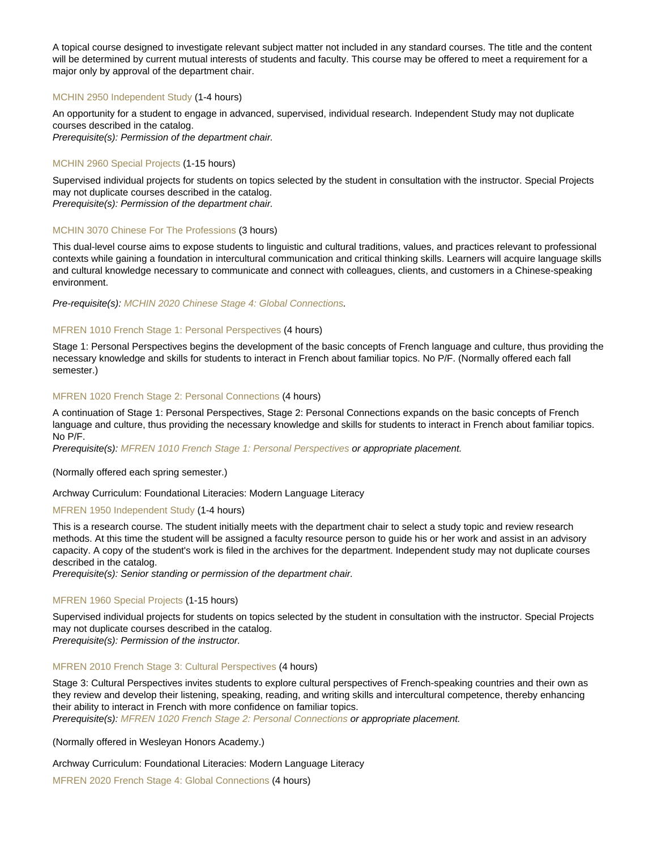A topical course designed to investigate relevant subject matter not included in any standard courses. The title and the content will be determined by current mutual interests of students and faculty. This course may be offered to meet a requirement for a major only by approval of the department chair.

## [MCHIN 2950 Independent Study](https://catalog.nebrwesleyan.edu/node/362592) (1-4 hours)

An opportunity for a student to engage in advanced, supervised, individual research. Independent Study may not duplicate courses described in the catalog. Prerequisite(s): Permission of the department chair.

## [MCHIN 2960 Special Projects](https://catalog.nebrwesleyan.edu/node/362593) (1-15 hours)

Supervised individual projects for students on topics selected by the student in consultation with the instructor. Special Projects may not duplicate courses described in the catalog.

Prerequisite(s): Permission of the department chair.

## [MCHIN 3070 Chinese For The Professions](https://catalog.nebrwesleyan.edu/node/363555) (3 hours)

This dual-level course aims to expose students to linguistic and cultural traditions, values, and practices relevant to professional contexts while gaining a foundation in intercultural communication and critical thinking skills. Learners will acquire language skills and cultural knowledge necessary to communicate and connect with colleagues, clients, and customers in a Chinese-speaking environment.

Pre-requisite(s): [MCHIN 2020 Chinese Stage 4: Global Connections](https://catalog.nebrwesleyan.edu/cc/2021-2022/course/363037).

## [MFREN 1010 French Stage 1: Personal Perspectives](https://catalog.nebrwesleyan.edu/node/362609) (4 hours)

Stage 1: Personal Perspectives begins the development of the basic concepts of French language and culture, thus providing the necessary knowledge and skills for students to interact in French about familiar topics. No P/F. (Normally offered each fall semester.)

## [MFREN 1020 French Stage 2: Personal Connections](https://catalog.nebrwesleyan.edu/node/362610) (4 hours)

A continuation of Stage 1: Personal Perspectives, Stage 2: Personal Connections expands on the basic concepts of French language and culture, thus providing the necessary knowledge and skills for students to interact in French about familiar topics. No P/F.

Prerequisite(s): [MFREN 1010 French Stage 1: Personal Perspectives](https://catalog.nebrwesleyan.edu/cc/2021-2022/course/362609) or appropriate placement.

#### (Normally offered each spring semester.)

Archway Curriculum: Foundational Literacies: Modern Language Literacy

## [MFREN 1950 Independent Study](https://catalog.nebrwesleyan.edu/node/362612) (1-4 hours)

This is a research course. The student initially meets with the department chair to select a study topic and review research methods. At this time the student will be assigned a faculty resource person to guide his or her work and assist in an advisory capacity. A copy of the student's work is filed in the archives for the department. Independent study may not duplicate courses described in the catalog.

Prerequisite(s): Senior standing or permission of the department chair.

## [MFREN 1960 Special Projects](https://catalog.nebrwesleyan.edu/node/362613) (1-15 hours)

Supervised individual projects for students on topics selected by the student in consultation with the instructor. Special Projects may not duplicate courses described in the catalog.

Prerequisite(s): Permission of the instructor.

## [MFREN 2010 French Stage 3: Cultural Perspectives](https://catalog.nebrwesleyan.edu/node/362615) (4 hours)

Stage 3: Cultural Perspectives invites students to explore cultural perspectives of French-speaking countries and their own as they review and develop their listening, speaking, reading, and writing skills and intercultural competence, thereby enhancing their ability to interact in French with more confidence on familiar topics.

Prerequisite(s): [MFREN 1020 French Stage 2: Personal Connections](https://catalog.nebrwesleyan.edu/cc/2021-2022/course/362610) or appropriate placement.

(Normally offered in Wesleyan Honors Academy.)

Archway Curriculum: Foundational Literacies: Modern Language Literacy

[MFREN 2020 French Stage 4: Global Connections](https://catalog.nebrwesleyan.edu/node/362616) (4 hours)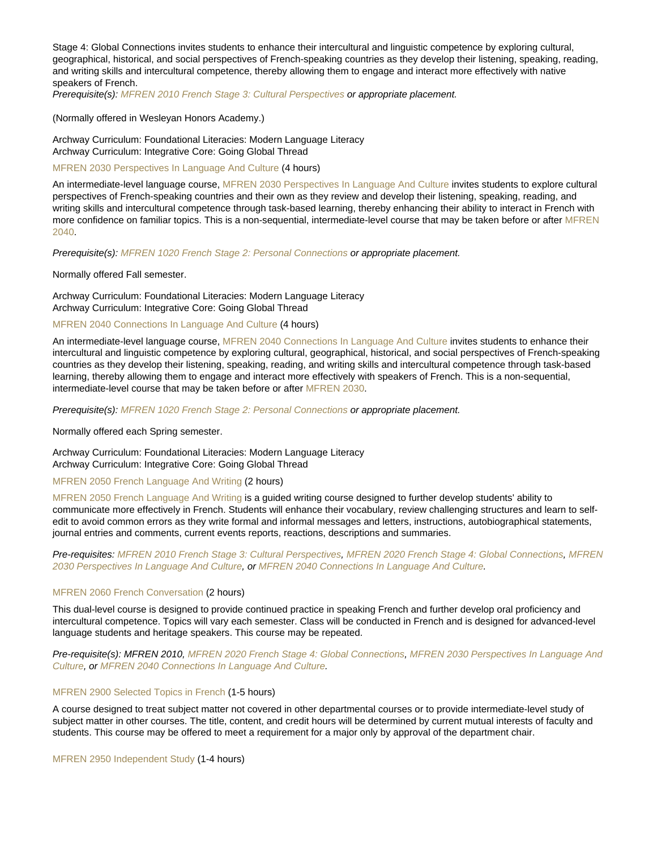Stage 4: Global Connections invites students to enhance their intercultural and linguistic competence by exploring cultural, geographical, historical, and social perspectives of French-speaking countries as they develop their listening, speaking, reading, and writing skills and intercultural competence, thereby allowing them to engage and interact more effectively with native speakers of French.

Prerequisite(s): [MFREN 2010 French Stage 3: Cultural Perspectives](https://catalog.nebrwesleyan.edu/cc/2021-2022/course/362615) or appropriate placement.

(Normally offered in Wesleyan Honors Academy.)

Archway Curriculum: Foundational Literacies: Modern Language Literacy Archway Curriculum: Integrative Core: Going Global Thread

[MFREN 2030 Perspectives In Language And Culture](https://catalog.nebrwesleyan.edu/node/363556) (4 hours)

An intermediate-level language course, [MFREN 2030 Perspectives In Language And Culture](https://catalog.nebrwesleyan.edu/cc/2021-2022/course/363556) invites students to explore cultural perspectives of French-speaking countries and their own as they review and develop their listening, speaking, reading, and writing skills and intercultural competence through task-based learning, thereby enhancing their ability to interact in French with more confidence on familiar topics. This is a non-sequential, intermediate-level course that may be taken before or after [MFREN](https://catalog.nebrwesleyan.edu/cc/2021-2022/course/363557) [2040](https://catalog.nebrwesleyan.edu/cc/2021-2022/course/363557).

Prerequisite(s): [MFREN 1020 French Stage 2: Personal Connections](https://catalog.nebrwesleyan.edu/cc/2021-2022/course/362610) or appropriate placement.

Normally offered Fall semester.

Archway Curriculum: Foundational Literacies: Modern Language Literacy Archway Curriculum: Integrative Core: Going Global Thread

[MFREN 2040 Connections In Language And Culture](https://catalog.nebrwesleyan.edu/node/363557) (4 hours)

An intermediate-level language course, [MFREN 2040 Connections In Language And Culture](https://catalog.nebrwesleyan.edu/cc/2021-2022/course/363557) invites students to enhance their intercultural and linguistic competence by exploring cultural, geographical, historical, and social perspectives of French-speaking countries as they develop their listening, speaking, reading, and writing skills and intercultural competence through task-based learning, thereby allowing them to engage and interact more effectively with speakers of French. This is a non-sequential, intermediate-level course that may be taken before or after [MFREN 2030.](https://catalog.nebrwesleyan.edu/cc/2021-2022/course/363556)

Prerequisite(s): [MFREN 1020 French Stage 2: Personal Connections](https://catalog.nebrwesleyan.edu/cc/2021-2022/course/362610) or appropriate placement.

Normally offered each Spring semester.

Archway Curriculum: Foundational Literacies: Modern Language Literacy Archway Curriculum: Integrative Core: Going Global Thread

[MFREN 2050 French Language And Writing](https://catalog.nebrwesleyan.edu/node/363558) (2 hours)

[MFREN 2050 French Language And Writing](https://catalog.nebrwesleyan.edu/cc/2021-2022/course/363558) is a guided writing course designed to further develop students' ability to communicate more effectively in French. Students will enhance their vocabulary, review challenging structures and learn to selfedit to avoid common errors as they write formal and informal messages and letters, instructions, autobiographical statements, journal entries and comments, current events reports, reactions, descriptions and summaries.

Pre-requisites: [MFREN 2010 French Stage 3: Cultural Perspectives](https://catalog.nebrwesleyan.edu/cc/2021-2022/course/362615), [MFREN 2020 French Stage 4: Global Connections](https://catalog.nebrwesleyan.edu/cc/2021-2022/course/362616), [MFREN](https://catalog.nebrwesleyan.edu/cc/2021-2022/course/363556) [2030 Perspectives In Language And Culture,](https://catalog.nebrwesleyan.edu/cc/2021-2022/course/363556) or [MFREN 2040 Connections In Language And Culture.](https://catalog.nebrwesleyan.edu/cc/2021-2022/course/363557)

## [MFREN 2060 French Conversation](https://catalog.nebrwesleyan.edu/node/363559) (2 hours)

This dual-level course is designed to provide continued practice in speaking French and further develop oral proficiency and intercultural competence. Topics will vary each semester. Class will be conducted in French and is designed for advanced-level language students and heritage speakers. This course may be repeated.

Pre-requisite(s): MFREN 2010, [MFREN 2020 French Stage 4: Global Connections](https://catalog.nebrwesleyan.edu/cc/2021-2022/course/362616), [MFREN 2030 Perspectives In Language And](https://catalog.nebrwesleyan.edu/cc/2021-2022/course/363556) [Culture](https://catalog.nebrwesleyan.edu/cc/2021-2022/course/363556), or [MFREN 2040 Connections In Language And Culture](https://catalog.nebrwesleyan.edu/cc/2021-2022/course/363557).

#### [MFREN 2900 Selected Topics in French](https://catalog.nebrwesleyan.edu/node/362617) (1-5 hours)

A course designed to treat subject matter not covered in other departmental courses or to provide intermediate-level study of subject matter in other courses. The title, content, and credit hours will be determined by current mutual interests of faculty and students. This course may be offered to meet a requirement for a major only by approval of the department chair.

[MFREN 2950 Independent Study](https://catalog.nebrwesleyan.edu/node/362618) (1-4 hours)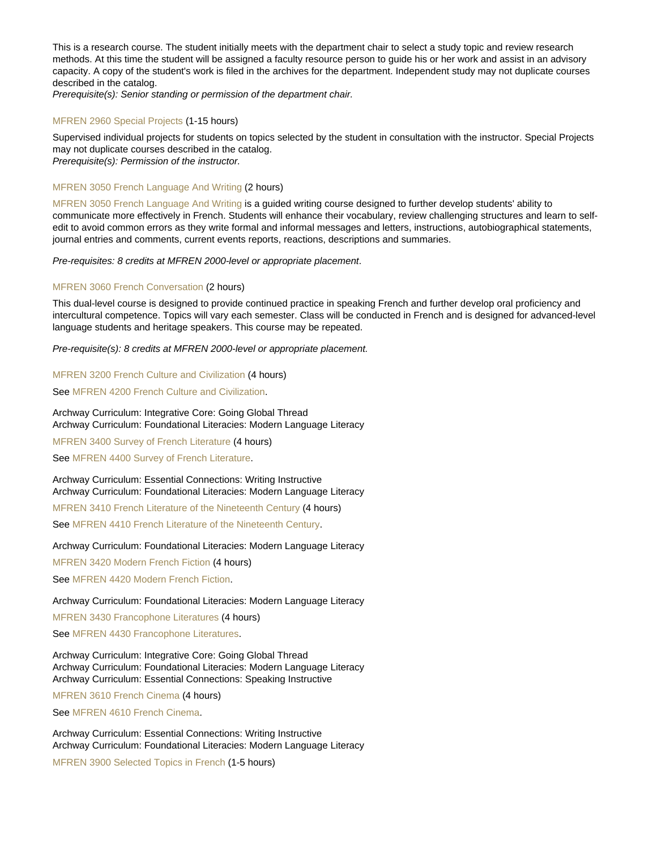This is a research course. The student initially meets with the department chair to select a study topic and review research methods. At this time the student will be assigned a faculty resource person to guide his or her work and assist in an advisory capacity. A copy of the student's work is filed in the archives for the department. Independent study may not duplicate courses described in the catalog.

Prerequisite(s): Senior standing or permission of the department chair.

#### [MFREN 2960 Special Projects](https://catalog.nebrwesleyan.edu/node/362619) (1-15 hours)

Supervised individual projects for students on topics selected by the student in consultation with the instructor. Special Projects may not duplicate courses described in the catalog. Prerequisite(s): Permission of the instructor.

#### [MFREN 3050 French Language And Writing](https://catalog.nebrwesleyan.edu/node/363560) (2 hours)

[MFREN 3050 French Language And Writing](https://catalog.nebrwesleyan.edu/cc/2021-2022/course/363560) is a guided writing course designed to further develop students' ability to communicate more effectively in French. Students will enhance their vocabulary, review challenging structures and learn to selfedit to avoid common errors as they write formal and informal messages and letters, instructions, autobiographical statements, journal entries and comments, current events reports, reactions, descriptions and summaries.

Pre-requisites: 8 credits at MFREN 2000-level or appropriate placement.

## [MFREN 3060 French Conversation](https://catalog.nebrwesleyan.edu/node/363561) (2 hours)

This dual-level course is designed to provide continued practice in speaking French and further develop oral proficiency and intercultural competence. Topics will vary each semester. Class will be conducted in French and is designed for advanced-level language students and heritage speakers. This course may be repeated.

Pre-requisite(s): 8 credits at MFREN 2000-level or appropriate placement.

## [MFREN 3200 French Culture and Civilization](https://catalog.nebrwesleyan.edu/node/362623) (4 hours)

See [MFREN 4200 French Culture and Civilization](https://catalog.nebrwesleyan.edu/cc/2021-2022/course/362632).

Archway Curriculum: Integrative Core: Going Global Thread Archway Curriculum: Foundational Literacies: Modern Language Literacy

[MFREN 3400 Survey of French Literature](https://catalog.nebrwesleyan.edu/node/362774) (4 hours) See [MFREN 4400 Survey of French Literature.](https://catalog.nebrwesleyan.edu/cc/2021-2022/course/362775)

Archway Curriculum: Essential Connections: Writing Instructive Archway Curriculum: Foundational Literacies: Modern Language Literacy [MFREN 3410 French Literature of the Nineteenth Century](https://catalog.nebrwesleyan.edu/node/362624) (4 hours)

See [MFREN 4410 French Literature of the Nineteenth Century](https://catalog.nebrwesleyan.edu/cc/2021-2022/course/362633).

#### Archway Curriculum: Foundational Literacies: Modern Language Literacy

[MFREN 3420 Modern French Fiction](https://catalog.nebrwesleyan.edu/node/362625) (4 hours)

See [MFREN 4420 Modern French Fiction.](https://catalog.nebrwesleyan.edu/cc/2021-2022/course/362634)

## Archway Curriculum: Foundational Literacies: Modern Language Literacy

[MFREN 3430 Francophone Literatures](https://catalog.nebrwesleyan.edu/node/362803) (4 hours)

See [MFREN 4430 Francophone Literatures.](https://catalog.nebrwesleyan.edu/cc/2021-2022/course/362635)

Archway Curriculum: Integrative Core: Going Global Thread Archway Curriculum: Foundational Literacies: Modern Language Literacy Archway Curriculum: Essential Connections: Speaking Instructive

[MFREN 3610 French Cinema](https://catalog.nebrwesleyan.edu/node/362900) (4 hours)

See [MFREN 4610 French Cinema](https://catalog.nebrwesleyan.edu/cc/2021-2022/course/362899).

Archway Curriculum: Essential Connections: Writing Instructive Archway Curriculum: Foundational Literacies: Modern Language Literacy

[MFREN 3900 Selected Topics in French](https://catalog.nebrwesleyan.edu/node/362627) (1-5 hours)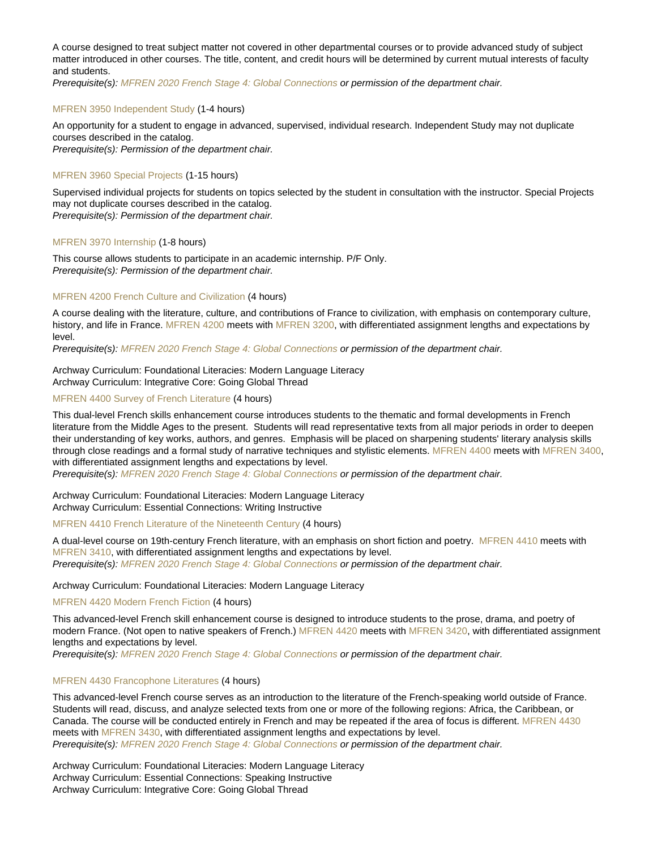A course designed to treat subject matter not covered in other departmental courses or to provide advanced study of subject matter introduced in other courses. The title, content, and credit hours will be determined by current mutual interests of faculty and students.

Prerequisite(s): [MFREN 2020 French Stage 4: Global Connections](https://catalog.nebrwesleyan.edu/cc/2021-2022/course/362616) or permission of the department chair.

## [MFREN 3950 Independent Study](https://catalog.nebrwesleyan.edu/node/362628) (1-4 hours)

An opportunity for a student to engage in advanced, supervised, individual research. Independent Study may not duplicate courses described in the catalog.

Prerequisite(s): Permission of the department chair.

## [MFREN 3960 Special Projects](https://catalog.nebrwesleyan.edu/node/362629) (1-15 hours)

Supervised individual projects for students on topics selected by the student in consultation with the instructor. Special Projects may not duplicate courses described in the catalog. Prerequisite(s): Permission of the department chair.

## [MFREN 3970 Internship](https://catalog.nebrwesleyan.edu/node/362630) (1-8 hours)

This course allows students to participate in an academic internship. P/F Only. Prerequisite(s): Permission of the department chair.

## [MFREN 4200 French Culture and Civilization](https://catalog.nebrwesleyan.edu/node/362632) (4 hours)

A course dealing with the literature, culture, and contributions of France to civilization, with emphasis on contemporary culture, history, and life in France. [MFREN 4200](https://catalog.nebrwesleyan.edu/cc/2021-2022/course/362632) meets with [MFREN 3200,](https://catalog.nebrwesleyan.edu/cc/2021-2022/course/362623) with differentiated assignment lengths and expectations by level.

Prerequisite(s): [MFREN 2020 French Stage 4: Global Connections](https://catalog.nebrwesleyan.edu/cc/2021-2022/course/362616) or permission of the department chair.

## Archway Curriculum: Foundational Literacies: Modern Language Literacy Archway Curriculum: Integrative Core: Going Global Thread

## [MFREN 4400 Survey of French Literature](https://catalog.nebrwesleyan.edu/node/362775) (4 hours)

This dual-level French skills enhancement course introduces students to the thematic and formal developments in French literature from the Middle Ages to the present. Students will read representative texts from all major periods in order to deepen their understanding of key works, authors, and genres. Emphasis will be placed on sharpening students' literary analysis skills through close readings and a formal study of narrative techniques and stylistic elements. [MFREN 4400](https://catalog.nebrwesleyan.edu/cc/2021-2022/course/362775) meets with [MFREN 3400](https://catalog.nebrwesleyan.edu/cc/2021-2022/course/362774). with differentiated assignment lengths and expectations by level.

Prerequisite(s): [MFREN 2020 French Stage 4: Global Connections](https://catalog.nebrwesleyan.edu/cc/2021-2022/course/362616) or permission of the department chair.

Archway Curriculum: Foundational Literacies: Modern Language Literacy Archway Curriculum: Essential Connections: Writing Instructive

[MFREN 4410 French Literature of the Nineteenth Century](https://catalog.nebrwesleyan.edu/node/362633) (4 hours)

A dual-level course on 19th-century French literature, with an emphasis on short fiction and poetry. [MFREN 4410](https://catalog.nebrwesleyan.edu/cc/2021-2022/course/362633) meets with [MFREN 3410,](https://catalog.nebrwesleyan.edu/cc/2021-2022/course/362624) with differentiated assignment lengths and expectations by level. Prerequisite(s): [MFREN 2020 French Stage 4: Global Connections](https://catalog.nebrwesleyan.edu/cc/2021-2022/course/362616) or permission of the department chair.

#### Archway Curriculum: Foundational Literacies: Modern Language Literacy

## [MFREN 4420 Modern French Fiction](https://catalog.nebrwesleyan.edu/node/362634) (4 hours)

This advanced-level French skill enhancement course is designed to introduce students to the prose, drama, and poetry of modern France. (Not open to native speakers of French.) [MFREN 4420](https://catalog.nebrwesleyan.edu/cc/2021-2022/course/362634) meets with [MFREN 3420,](https://catalog.nebrwesleyan.edu/cc/2021-2022/course/362625) with differentiated assignment lengths and expectations by level.

Prerequisite(s): [MFREN 2020 French Stage 4: Global Connections](https://catalog.nebrwesleyan.edu/cc/2021-2022/course/362616) or permission of the department chair.

## [MFREN 4430 Francophone Literatures](https://catalog.nebrwesleyan.edu/node/362635) (4 hours)

This advanced-level French course serves as an introduction to the literature of the French-speaking world outside of France. Students will read, discuss, and analyze selected texts from one or more of the following regions: Africa, the Caribbean, or Canada. The course will be conducted entirely in French and may be repeated if the area of focus is different. [MFREN 4430](https://catalog.nebrwesleyan.edu/cc/2021-2022/course/362635) meets with [MFREN 3430](https://catalog.nebrwesleyan.edu/cc/2021-2022/course/362803), with differentiated assignment lengths and expectations by level. Prerequisite(s): [MFREN 2020 French Stage 4: Global Connections](https://catalog.nebrwesleyan.edu/cc/2021-2022/course/362616) or permission of the department chair.

Archway Curriculum: Foundational Literacies: Modern Language Literacy Archway Curriculum: Essential Connections: Speaking Instructive Archway Curriculum: Integrative Core: Going Global Thread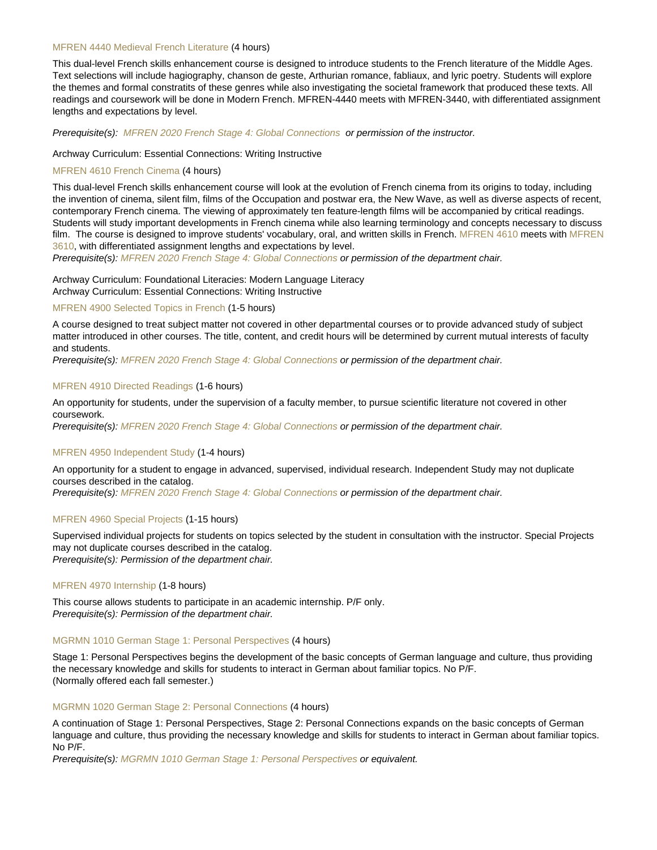## [MFREN 4440 Medieval French Literature](https://catalog.nebrwesleyan.edu/node/363022) (4 hours)

This dual-level French skills enhancement course is designed to introduce students to the French literature of the Middle Ages. Text selections will include hagiography, chanson de geste, Arthurian romance, fabliaux, and lyric poetry. Students will explore the themes and formal constratits of these genres while also investigating the societal framework that produced these texts. All readings and coursework will be done in Modern French. MFREN-4440 meets with MFREN-3440, with differentiated assignment lengths and expectations by level.

Prerequisite(s): [MFREN 2020 French Stage 4: Global Connections](https://catalog.nebrwesleyan.edu/cc/2021-2022/course/362616) or permission of the instructor.

#### Archway Curriculum: Essential Connections: Writing Instructive

## [MFREN 4610 French Cinema](https://catalog.nebrwesleyan.edu/node/362899) (4 hours)

This dual-level French skills enhancement course will look at the evolution of French cinema from its origins to today, including the invention of cinema, silent film, films of the Occupation and postwar era, the New Wave, as well as diverse aspects of recent, contemporary French cinema. The viewing of approximately ten feature-length films will be accompanied by critical readings. Students will study important developments in French cinema while also learning terminology and concepts necessary to discuss film. The course is designed to improve students' vocabulary, oral, and written skills in French. [MFREN 4610](https://catalog.nebrwesleyan.edu/cc/2021-2022/course/362899) meets with [MFREN](https://catalog.nebrwesleyan.edu/cc/2021-2022/course/362900) [3610](https://catalog.nebrwesleyan.edu/cc/2021-2022/course/362900), with differentiated assignment lengths and expectations by level.

Prerequisite(s): [MFREN 2020 French Stage 4: Global Connections](https://catalog.nebrwesleyan.edu/cc/2021-2022/course/362616) or permission of the department chair.

Archway Curriculum: Foundational Literacies: Modern Language Literacy Archway Curriculum: Essential Connections: Writing Instructive

#### [MFREN 4900 Selected Topics in French](https://catalog.nebrwesleyan.edu/node/362637) (1-5 hours)

A course designed to treat subject matter not covered in other departmental courses or to provide advanced study of subject matter introduced in other courses. The title, content, and credit hours will be determined by current mutual interests of faculty and students.

Prerequisite(s): [MFREN 2020 French Stage 4: Global Connections](https://catalog.nebrwesleyan.edu/cc/2021-2022/course/362616) or permission of the department chair.

## [MFREN 4910 Directed Readings](https://catalog.nebrwesleyan.edu/node/362638) (1-6 hours)

An opportunity for students, under the supervision of a faculty member, to pursue scientific literature not covered in other coursework.

Prerequisite(s): [MFREN 2020 French Stage 4: Global Connections](https://catalog.nebrwesleyan.edu/cc/2021-2022/course/362616) or permission of the department chair.

#### [MFREN 4950 Independent Study](https://catalog.nebrwesleyan.edu/node/362639) (1-4 hours)

An opportunity for a student to engage in advanced, supervised, individual research. Independent Study may not duplicate courses described in the catalog.

Prerequisite(s): [MFREN 2020 French Stage 4: Global Connections](https://catalog.nebrwesleyan.edu/cc/2021-2022/course/362616) or permission of the department chair.

## [MFREN 4960 Special Projects](https://catalog.nebrwesleyan.edu/node/362640) (1-15 hours)

Supervised individual projects for students on topics selected by the student in consultation with the instructor. Special Projects may not duplicate courses described in the catalog. Prerequisite(s): Permission of the department chair.

#### [MFREN 4970 Internship](https://catalog.nebrwesleyan.edu/node/362641) (1-8 hours)

This course allows students to participate in an academic internship. P/F only. Prerequisite(s): Permission of the department chair.

## [MGRMN 1010 German Stage 1: Personal Perspectives](https://catalog.nebrwesleyan.edu/node/362645) (4 hours)

Stage 1: Personal Perspectives begins the development of the basic concepts of German language and culture, thus providing the necessary knowledge and skills for students to interact in German about familiar topics. No P/F. (Normally offered each fall semester.)

## [MGRMN 1020 German Stage 2: Personal Connections](https://catalog.nebrwesleyan.edu/node/362646) (4 hours)

A continuation of Stage 1: Personal Perspectives, Stage 2: Personal Connections expands on the basic concepts of German language and culture, thus providing the necessary knowledge and skills for students to interact in German about familiar topics. No P/F.

Prerequisite(s): [MGRMN 1010 German Stage 1: Personal Perspectives](https://catalog.nebrwesleyan.edu/cc/2021-2022/course/362645) or equivalent.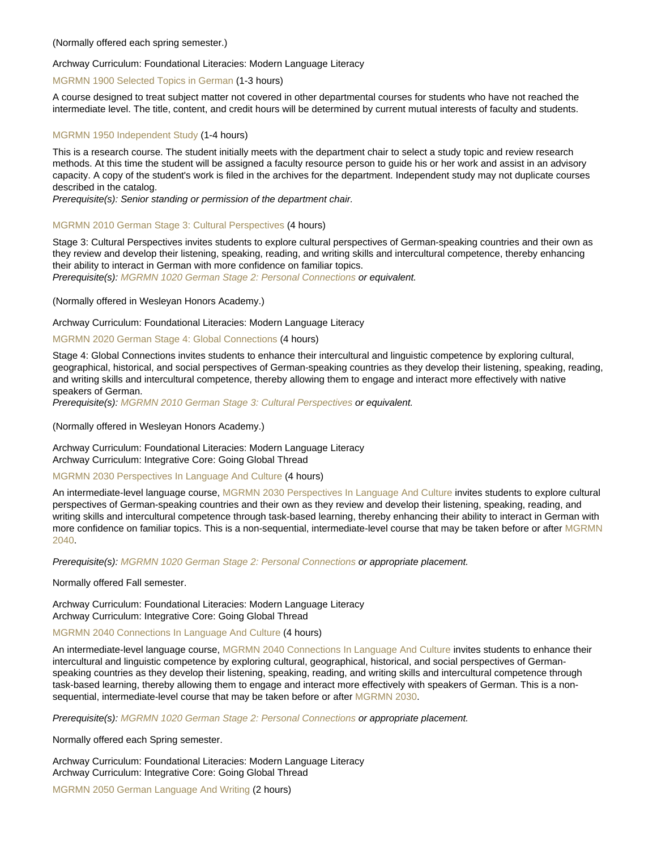## (Normally offered each spring semester.)

## Archway Curriculum: Foundational Literacies: Modern Language Literacy

## [MGRMN 1900 Selected Topics in German](https://catalog.nebrwesleyan.edu/node/362647) (1-3 hours)

A course designed to treat subject matter not covered in other departmental courses for students who have not reached the intermediate level. The title, content, and credit hours will be determined by current mutual interests of faculty and students.

#### [MGRMN 1950 Independent Study](https://catalog.nebrwesleyan.edu/node/362648) (1-4 hours)

This is a research course. The student initially meets with the department chair to select a study topic and review research methods. At this time the student will be assigned a faculty resource person to guide his or her work and assist in an advisory capacity. A copy of the student's work is filed in the archives for the department. Independent study may not duplicate courses described in the catalog.

Prerequisite(s): Senior standing or permission of the department chair.

## [MGRMN 2010 German Stage 3: Cultural Perspectives](https://catalog.nebrwesleyan.edu/node/362651) (4 hours)

Stage 3: Cultural Perspectives invites students to explore cultural perspectives of German-speaking countries and their own as they review and develop their listening, speaking, reading, and writing skills and intercultural competence, thereby enhancing their ability to interact in German with more confidence on familiar topics.

Prerequisite(s): [MGRMN 1020 German Stage 2: Personal Connections](https://catalog.nebrwesleyan.edu/cc/2021-2022/course/362646) or equivalent.

(Normally offered in Wesleyan Honors Academy.)

## Archway Curriculum: Foundational Literacies: Modern Language Literacy

## [MGRMN 2020 German Stage 4: Global Connections](https://catalog.nebrwesleyan.edu/node/362652) (4 hours)

Stage 4: Global Connections invites students to enhance their intercultural and linguistic competence by exploring cultural, geographical, historical, and social perspectives of German-speaking countries as they develop their listening, speaking, reading, and writing skills and intercultural competence, thereby allowing them to engage and interact more effectively with native speakers of German.

Prerequisite(s): [MGRMN 2010 German Stage 3: Cultural Perspectives](https://catalog.nebrwesleyan.edu/cc/2021-2022/course/362651) or equivalent.

(Normally offered in Wesleyan Honors Academy.)

Archway Curriculum: Foundational Literacies: Modern Language Literacy Archway Curriculum: Integrative Core: Going Global Thread

#### [MGRMN 2030 Perspectives In Language And Culture](https://catalog.nebrwesleyan.edu/node/363562) (4 hours)

An intermediate-level language course, [MGRMN 2030 Perspectives In Language And Culture](https://catalog.nebrwesleyan.edu/cc/2021-2022/course/363562) invites students to explore cultural perspectives of German-speaking countries and their own as they review and develop their listening, speaking, reading, and writing skills and intercultural competence through task-based learning, thereby enhancing their ability to interact in German with more confidence on familiar topics. This is a non-sequential, intermediate-level course that may be taken before or after [MGRMN](https://catalog.nebrwesleyan.edu/cc/2021-2022/course/363563) [2040](https://catalog.nebrwesleyan.edu/cc/2021-2022/course/363563).

Prerequisite(s): [MGRMN 1020 German Stage 2: Personal Connections](https://catalog.nebrwesleyan.edu/cc/2021-2022/course/362646) or appropriate placement.

Normally offered Fall semester.

Archway Curriculum: Foundational Literacies: Modern Language Literacy Archway Curriculum: Integrative Core: Going Global Thread

[MGRMN 2040 Connections In Language And Culture](https://catalog.nebrwesleyan.edu/node/363563) (4 hours)

An intermediate-level language course, [MGRMN 2040 Connections In Language And Culture](https://catalog.nebrwesleyan.edu/cc/2021-2022/course/363563) invites students to enhance their intercultural and linguistic competence by exploring cultural, geographical, historical, and social perspectives of Germanspeaking countries as they develop their listening, speaking, reading, and writing skills and intercultural competence through task-based learning, thereby allowing them to engage and interact more effectively with speakers of German. This is a nonsequential, intermediate-level course that may be taken before or after [MGRMN 2030.](https://catalog.nebrwesleyan.edu/cc/2021-2022/course/363562)

Prerequisite(s): [MGRMN 1020 German Stage 2: Personal Connections](https://catalog.nebrwesleyan.edu/cc/2021-2022/course/362646) or appropriate placement.

Normally offered each Spring semester.

Archway Curriculum: Foundational Literacies: Modern Language Literacy Archway Curriculum: Integrative Core: Going Global Thread

[MGRMN 2050 German Language And Writing](https://catalog.nebrwesleyan.edu/node/363564) (2 hours)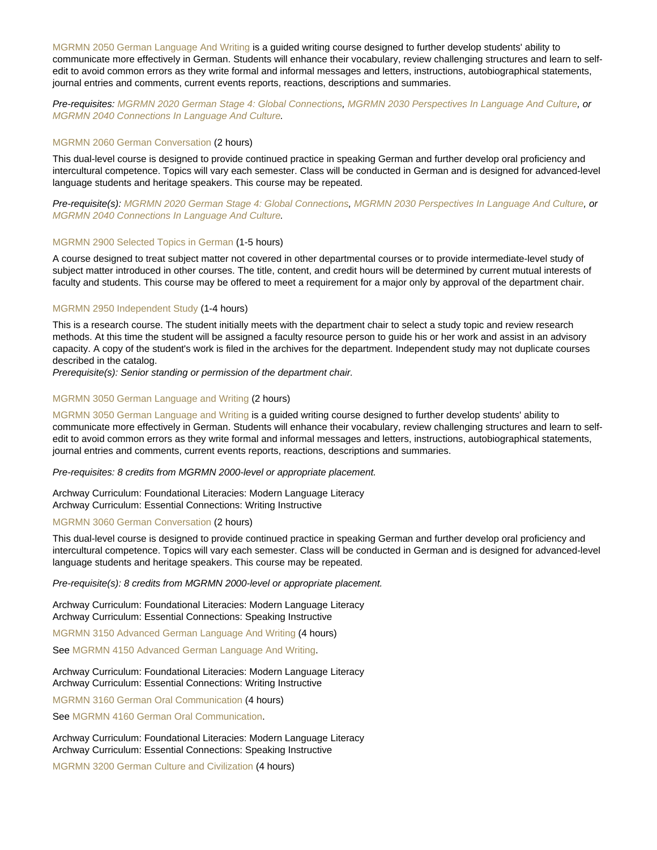[MGRMN 2050 German Language And Writing](https://catalog.nebrwesleyan.edu/cc/2021-2022/course/363564) is a guided writing course designed to further develop students' ability to communicate more effectively in German. Students will enhance their vocabulary, review challenging structures and learn to selfedit to avoid common errors as they write formal and informal messages and letters, instructions, autobiographical statements, journal entries and comments, current events reports, reactions, descriptions and summaries.

Pre-requisites: [MGRMN 2020 German Stage 4: Global Connections](https://catalog.nebrwesleyan.edu/cc/2021-2022/course/362652), [MGRMN 2030 Perspectives In Language And Culture](https://catalog.nebrwesleyan.edu/cc/2021-2022/course/363562), or [MGRMN 2040 Connections In Language And Culture.](https://catalog.nebrwesleyan.edu/cc/2021-2022/course/363563)

#### [MGRMN 2060 German Conversation](https://catalog.nebrwesleyan.edu/node/363565) (2 hours)

This dual-level course is designed to provide continued practice in speaking German and further develop oral proficiency and intercultural competence. Topics will vary each semester. Class will be conducted in German and is designed for advanced-level language students and heritage speakers. This course may be repeated.

Pre-requisite(s): [MGRMN 2020 German Stage 4: Global Connections](https://catalog.nebrwesleyan.edu/cc/2021-2022/course/362652), [MGRMN 2030 Perspectives In Language And Culture](https://catalog.nebrwesleyan.edu/cc/2021-2022/course/363562), or [MGRMN 2040 Connections In Language And Culture.](https://catalog.nebrwesleyan.edu/cc/2021-2022/course/363563)

## [MGRMN 2900 Selected Topics in German](https://catalog.nebrwesleyan.edu/node/362653) (1-5 hours)

A course designed to treat subject matter not covered in other departmental courses or to provide intermediate-level study of subject matter introduced in other courses. The title, content, and credit hours will be determined by current mutual interests of faculty and students. This course may be offered to meet a requirement for a major only by approval of the department chair.

#### [MGRMN 2950 Independent Study](https://catalog.nebrwesleyan.edu/node/362654) (1-4 hours)

This is a research course. The student initially meets with the department chair to select a study topic and review research methods. At this time the student will be assigned a faculty resource person to guide his or her work and assist in an advisory capacity. A copy of the student's work is filed in the archives for the department. Independent study may not duplicate courses described in the catalog.

Prerequisite(s): Senior standing or permission of the department chair.

## [MGRMN 3050 German Language and Writing](https://catalog.nebrwesleyan.edu/node/362776) (2 hours)

[MGRMN 3050 German Language and Writing](https://catalog.nebrwesleyan.edu/cc/2021-2022/course/362776) is a guided writing course designed to further develop students' ability to communicate more effectively in German. Students will enhance their vocabulary, review challenging structures and learn to selfedit to avoid common errors as they write formal and informal messages and letters, instructions, autobiographical statements, journal entries and comments, current events reports, reactions, descriptions and summaries.

Pre-requisites: 8 credits from MGRMN 2000-level or appropriate placement.

Archway Curriculum: Foundational Literacies: Modern Language Literacy Archway Curriculum: Essential Connections: Writing Instructive

#### [MGRMN 3060 German Conversation](https://catalog.nebrwesleyan.edu/node/362886) (2 hours)

This dual-level course is designed to provide continued practice in speaking German and further develop oral proficiency and intercultural competence. Topics will vary each semester. Class will be conducted in German and is designed for advanced-level language students and heritage speakers. This course may be repeated.

Pre-requisite(s): 8 credits from MGRMN 2000-level or appropriate placement.

Archway Curriculum: Foundational Literacies: Modern Language Literacy Archway Curriculum: Essential Connections: Speaking Instructive

[MGRMN 3150 Advanced German Language And Writing](https://catalog.nebrwesleyan.edu/node/363566) (4 hours)

See [MGRMN 4150 Advanced German Language And Writing](https://catalog.nebrwesleyan.edu/cc/2021-2022/course/363568).

Archway Curriculum: Foundational Literacies: Modern Language Literacy Archway Curriculum: Essential Connections: Writing Instructive

[MGRMN 3160 German Oral Communication](https://catalog.nebrwesleyan.edu/node/363567) (4 hours)

See [MGRMN 4160 German Oral Communication.](https://catalog.nebrwesleyan.edu/cc/2021-2022/course/363569)

Archway Curriculum: Foundational Literacies: Modern Language Literacy Archway Curriculum: Essential Connections: Speaking Instructive

[MGRMN 3200 German Culture and Civilization](https://catalog.nebrwesleyan.edu/node/362658) (4 hours)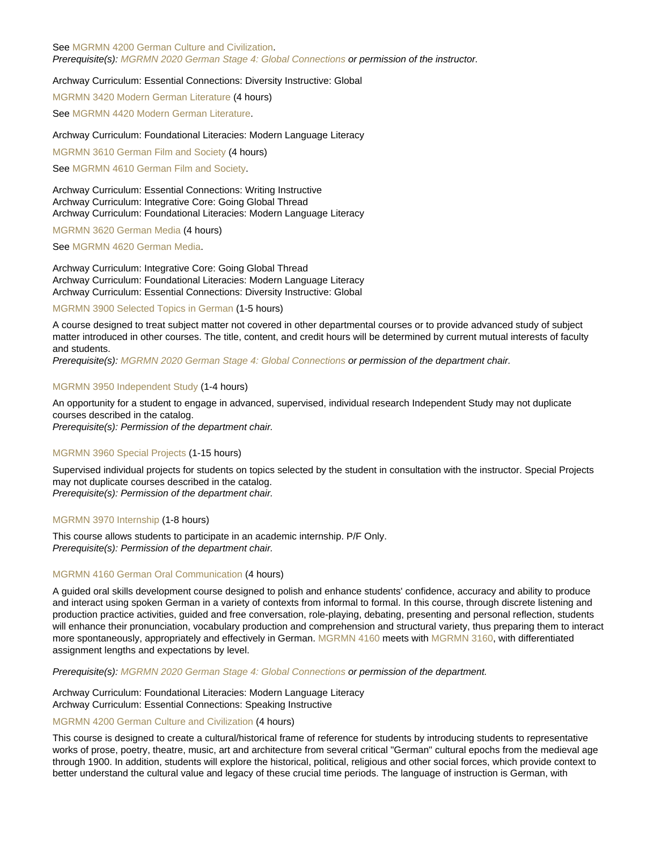See [MGRMN 4200 German Culture and Civilization.](https://catalog.nebrwesleyan.edu/cc/2021-2022/course/362668) Prerequisite(s): [MGRMN 2020 German Stage 4: Global Connections](https://catalog.nebrwesleyan.edu/cc/2021-2022/course/362652) or permission of the instructor.

## Archway Curriculum: Essential Connections: Diversity Instructive: Global

[MGRMN 3420 Modern German Literature](https://catalog.nebrwesleyan.edu/node/362660) (4 hours)

See [MGRMN 4420 Modern German Literature.](https://catalog.nebrwesleyan.edu/cc/2021-2022/course/362670)

#### Archway Curriculum: Foundational Literacies: Modern Language Literacy

[MGRMN 3610 German Film and Society](https://catalog.nebrwesleyan.edu/node/362662) (4 hours)

See [MGRMN 4610 German Film and Society](https://catalog.nebrwesleyan.edu/cc/2021-2022/course/362672).

Archway Curriculum: Essential Connections: Writing Instructive Archway Curriculum: Integrative Core: Going Global Thread Archway Curriculum: Foundational Literacies: Modern Language Literacy

[MGRMN 3620 German Media](https://catalog.nebrwesleyan.edu/node/362663) (4 hours)

See [MGRMN 4620 German Media](https://catalog.nebrwesleyan.edu/cc/2021-2022/course/362673).

Archway Curriculum: Integrative Core: Going Global Thread Archway Curriculum: Foundational Literacies: Modern Language Literacy Archway Curriculum: Essential Connections: Diversity Instructive: Global

## [MGRMN 3900 Selected Topics in German](https://catalog.nebrwesleyan.edu/node/362664) (1-5 hours)

A course designed to treat subject matter not covered in other departmental courses or to provide advanced study of subject matter introduced in other courses. The title, content, and credit hours will be determined by current mutual interests of faculty and students.

Prerequisite(s): [MGRMN 2020 German Stage 4: Global Connections](https://catalog.nebrwesleyan.edu/cc/2021-2022/course/362652) or permission of the department chair.

#### [MGRMN 3950 Independent Study](https://catalog.nebrwesleyan.edu/node/362665) (1-4 hours)

An opportunity for a student to engage in advanced, supervised, individual research Independent Study may not duplicate courses described in the catalog. Prerequisite(s): Permission of the department chair.

#### [MGRMN 3960 Special Projects](https://catalog.nebrwesleyan.edu/node/362666) (1-15 hours)

Supervised individual projects for students on topics selected by the student in consultation with the instructor. Special Projects may not duplicate courses described in the catalog. Prerequisite(s): Permission of the department chair.

## [MGRMN 3970 Internship](https://catalog.nebrwesleyan.edu/node/362667) (1-8 hours)

This course allows students to participate in an academic internship. P/F Only. Prerequisite(s): Permission of the department chair.

#### [MGRMN 4160 German Oral Communication](https://catalog.nebrwesleyan.edu/node/363569) (4 hours)

A guided oral skills development course designed to polish and enhance students' confidence, accuracy and ability to produce and interact using spoken German in a variety of contexts from informal to formal. In this course, through discrete listening and production practice activities, guided and free conversation, role-playing, debating, presenting and personal reflection, students will enhance their pronunciation, vocabulary production and comprehension and structural variety, thus preparing them to interact more spontaneously, appropriately and effectively in German. [MGRMN 4160](https://catalog.nebrwesleyan.edu/cc/2021-2022/course/363569) meets with [MGRMN 3160,](https://catalog.nebrwesleyan.edu/cc/2021-2022/course/363567) with differentiated assignment lengths and expectations by level.

Prerequisite(s): [MGRMN 2020 German Stage 4: Global Connections](https://catalog.nebrwesleyan.edu/cc/2021-2022/course/362652) or permission of the department.

Archway Curriculum: Foundational Literacies: Modern Language Literacy Archway Curriculum: Essential Connections: Speaking Instructive

## [MGRMN 4200 German Culture and Civilization](https://catalog.nebrwesleyan.edu/node/362668) (4 hours)

This course is designed to create a cultural/historical frame of reference for students by introducing students to representative works of prose, poetry, theatre, music, art and architecture from several critical "German" cultural epochs from the medieval age through 1900. In addition, students will explore the historical, political, religious and other social forces, which provide context to better understand the cultural value and legacy of these crucial time periods. The language of instruction is German, with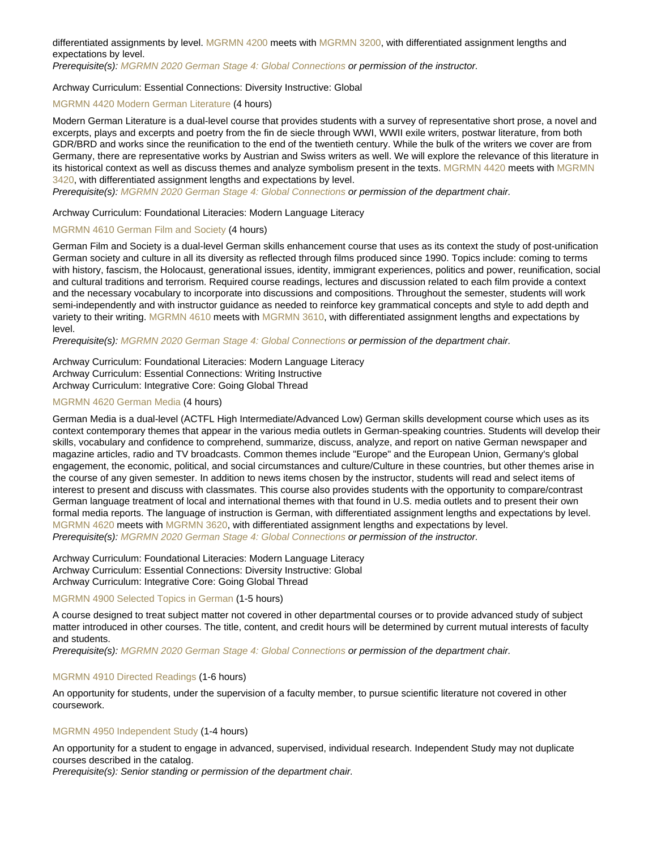differentiated assignments by level. [MGRMN 4200](https://catalog.nebrwesleyan.edu/cc/2021-2022/course/362668) meets with [MGRMN 3200](https://catalog.nebrwesleyan.edu/cc/2021-2022/course/362658), with differentiated assignment lengths and expectations by level.

Prerequisite(s): [MGRMN 2020 German Stage 4: Global Connections](https://catalog.nebrwesleyan.edu/cc/2021-2022/course/362652) or permission of the instructor.

## Archway Curriculum: Essential Connections: Diversity Instructive: Global

## [MGRMN 4420 Modern German Literature](https://catalog.nebrwesleyan.edu/node/362670) (4 hours)

Modern German Literature is a dual-level course that provides students with a survey of representative short prose, a novel and excerpts, plays and excerpts and poetry from the fin de siecle through WWI, WWII exile writers, postwar literature, from both GDR/BRD and works since the reunification to the end of the twentieth century. While the bulk of the writers we cover are from Germany, there are representative works by Austrian and Swiss writers as well. We will explore the relevance of this literature in its historical context as well as discuss themes and analyze symbolism present in the texts. [MGRMN 4420](https://catalog.nebrwesleyan.edu/cc/2021-2022/course/362670) meets with [MGRMN](https://catalog.nebrwesleyan.edu/cc/2021-2022/course/362660) [3420](https://catalog.nebrwesleyan.edu/cc/2021-2022/course/362660), with differentiated assignment lengths and expectations by level.

Prerequisite(s): [MGRMN 2020 German Stage 4: Global Connections](https://catalog.nebrwesleyan.edu/cc/2021-2022/course/362652) or permission of the department chair.

## Archway Curriculum: Foundational Literacies: Modern Language Literacy

## [MGRMN 4610 German Film and Society](https://catalog.nebrwesleyan.edu/node/362672) (4 hours)

German Film and Society is a dual-level German skills enhancement course that uses as its context the study of post-unification German society and culture in all its diversity as reflected through films produced since 1990. Topics include: coming to terms with history, fascism, the Holocaust, generational issues, identity, immigrant experiences, politics and power, reunification, social and cultural traditions and terrorism. Required course readings, lectures and discussion related to each film provide a context and the necessary vocabulary to incorporate into discussions and compositions. Throughout the semester, students will work semi-independently and with instructor guidance as needed to reinforce key grammatical concepts and style to add depth and variety to their writing. [MGRMN 4610](https://catalog.nebrwesleyan.edu/cc/2021-2022/course/362672) meets with [MGRMN 3610](https://catalog.nebrwesleyan.edu/cc/2021-2022/course/362662), with differentiated assignment lengths and expectations by level.

Prerequisite(s): [MGRMN 2020 German Stage 4: Global Connections](https://catalog.nebrwesleyan.edu/cc/2021-2022/course/362652) or permission of the department chair.

Archway Curriculum: Foundational Literacies: Modern Language Literacy Archway Curriculum: Essential Connections: Writing Instructive Archway Curriculum: Integrative Core: Going Global Thread

## [MGRMN 4620 German Media](https://catalog.nebrwesleyan.edu/node/362673) (4 hours)

German Media is a dual-level (ACTFL High Intermediate/Advanced Low) German skills development course which uses as its context contemporary themes that appear in the various media outlets in German-speaking countries. Students will develop their skills, vocabulary and confidence to comprehend, summarize, discuss, analyze, and report on native German newspaper and magazine articles, radio and TV broadcasts. Common themes include "Europe" and the European Union, Germany's global engagement, the economic, political, and social circumstances and culture/Culture in these countries, but other themes arise in the course of any given semester. In addition to news items chosen by the instructor, students will read and select items of interest to present and discuss with classmates. This course also provides students with the opportunity to compare/contrast German language treatment of local and international themes with that found in U.S. media outlets and to present their own formal media reports. The language of instruction is German, with differentiated assignment lengths and expectations by level. [MGRMN 4620](https://catalog.nebrwesleyan.edu/cc/2021-2022/course/362673) meets with [MGRMN 3620](https://catalog.nebrwesleyan.edu/cc/2021-2022/course/362663), with differentiated assignment lengths and expectations by level. Prerequisite(s): [MGRMN 2020 German Stage 4: Global Connections](https://catalog.nebrwesleyan.edu/cc/2021-2022/course/362652) or permission of the instructor.

Archway Curriculum: Foundational Literacies: Modern Language Literacy Archway Curriculum: Essential Connections: Diversity Instructive: Global Archway Curriculum: Integrative Core: Going Global Thread

## [MGRMN 4900 Selected Topics in German](https://catalog.nebrwesleyan.edu/node/362674) (1-5 hours)

A course designed to treat subject matter not covered in other departmental courses or to provide advanced study of subject matter introduced in other courses. The title, content, and credit hours will be determined by current mutual interests of faculty and students.

Prerequisite(s): [MGRMN 2020 German Stage 4: Global Connections](https://catalog.nebrwesleyan.edu/cc/2021-2022/course/362652) or permission of the department chair.

## [MGRMN 4910 Directed Readings](https://catalog.nebrwesleyan.edu/node/362675) (1-6 hours)

An opportunity for students, under the supervision of a faculty member, to pursue scientific literature not covered in other coursework.

## [MGRMN 4950 Independent Study](https://catalog.nebrwesleyan.edu/node/362676) (1-4 hours)

An opportunity for a student to engage in advanced, supervised, individual research. Independent Study may not duplicate courses described in the catalog.

Prerequisite(s): Senior standing or permission of the department chair.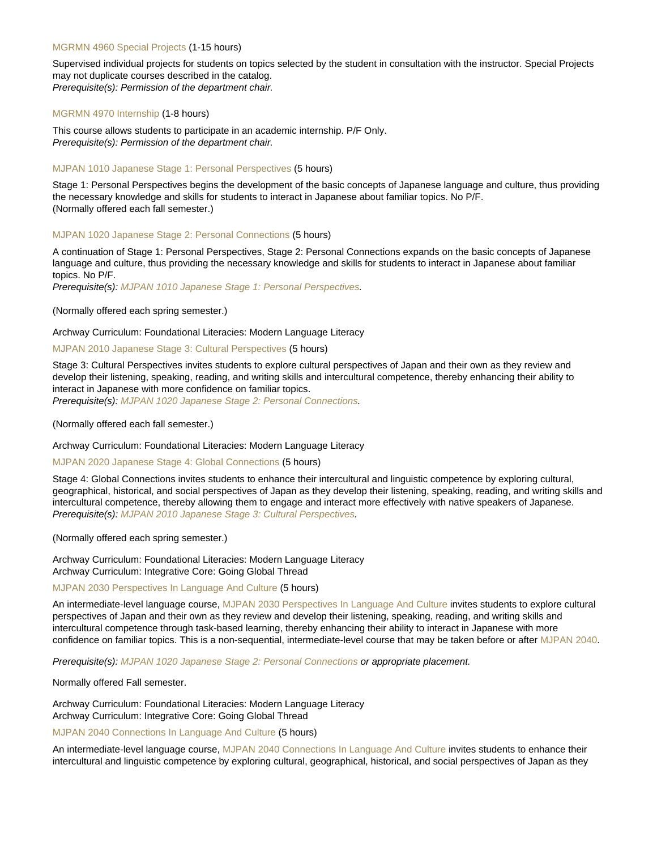## [MGRMN 4960 Special Projects](https://catalog.nebrwesleyan.edu/node/362677) (1-15 hours)

Supervised individual projects for students on topics selected by the student in consultation with the instructor. Special Projects may not duplicate courses described in the catalog. Prerequisite(s): Permission of the department chair.

#### [MGRMN 4970 Internship](https://catalog.nebrwesleyan.edu/node/362678) (1-8 hours)

This course allows students to participate in an academic internship. P/F Only. Prerequisite(s): Permission of the department chair.

## [MJPAN 1010 Japanese Stage 1: Personal Perspectives](https://catalog.nebrwesleyan.edu/node/362682) (5 hours)

Stage 1: Personal Perspectives begins the development of the basic concepts of Japanese language and culture, thus providing the necessary knowledge and skills for students to interact in Japanese about familiar topics. No P/F. (Normally offered each fall semester.)

## [MJPAN 1020 Japanese Stage 2: Personal Connections](https://catalog.nebrwesleyan.edu/node/362683) (5 hours)

A continuation of Stage 1: Personal Perspectives, Stage 2: Personal Connections expands on the basic concepts of Japanese language and culture, thus providing the necessary knowledge and skills for students to interact in Japanese about familiar topics. No P/F.

Prerequisite(s): [MJPAN 1010 Japanese Stage 1: Personal Perspectives](https://catalog.nebrwesleyan.edu/cc/2021-2022/course/362682).

(Normally offered each spring semester.)

## Archway Curriculum: Foundational Literacies: Modern Language Literacy

## [MJPAN 2010 Japanese Stage 3: Cultural Perspectives](https://catalog.nebrwesleyan.edu/node/362688) (5 hours)

Stage 3: Cultural Perspectives invites students to explore cultural perspectives of Japan and their own as they review and develop their listening, speaking, reading, and writing skills and intercultural competence, thereby enhancing their ability to interact in Japanese with more confidence on familiar topics.

Prerequisite(s): [MJPAN 1020 Japanese Stage 2: Personal Connections.](https://catalog.nebrwesleyan.edu/cc/2021-2022/course/362683)

(Normally offered each fall semester.)

Archway Curriculum: Foundational Literacies: Modern Language Literacy

## [MJPAN 2020 Japanese Stage 4: Global Connections](https://catalog.nebrwesleyan.edu/node/362689) (5 hours)

Stage 4: Global Connections invites students to enhance their intercultural and linguistic competence by exploring cultural, geographical, historical, and social perspectives of Japan as they develop their listening, speaking, reading, and writing skills and intercultural competence, thereby allowing them to engage and interact more effectively with native speakers of Japanese. Prerequisite(s): [MJPAN 2010 Japanese Stage 3: Cultural Perspectives.](https://catalog.nebrwesleyan.edu/cc/2021-2022/course/362688)

(Normally offered each spring semester.)

Archway Curriculum: Foundational Literacies: Modern Language Literacy Archway Curriculum: Integrative Core: Going Global Thread

#### [MJPAN 2030 Perspectives In Language And Culture](https://catalog.nebrwesleyan.edu/node/363570) (5 hours)

An intermediate-level language course, [MJPAN 2030 Perspectives In Language And Culture](https://catalog.nebrwesleyan.edu/cc/2021-2022/course/363570) invites students to explore cultural perspectives of Japan and their own as they review and develop their listening, speaking, reading, and writing skills and intercultural competence through task-based learning, thereby enhancing their ability to interact in Japanese with more confidence on familiar topics. This is a non-sequential, intermediate-level course that may be taken before or after [MJPAN 2040.](https://catalog.nebrwesleyan.edu/cc/2021-2022/course/363571)

Prerequisite(s): [MJPAN 1020 Japanese Stage 2: Personal Connections](https://catalog.nebrwesleyan.edu/cc/2021-2022/course/362683) or appropriate placement.

Normally offered Fall semester.

Archway Curriculum: Foundational Literacies: Modern Language Literacy Archway Curriculum: Integrative Core: Going Global Thread

[MJPAN 2040 Connections In Language And Culture](https://catalog.nebrwesleyan.edu/node/363571) (5 hours)

An intermediate-level language course, [MJPAN 2040 Connections In Language And Culture](https://catalog.nebrwesleyan.edu/cc/2021-2022/course/363571) invites students to enhance their intercultural and linguistic competence by exploring cultural, geographical, historical, and social perspectives of Japan as they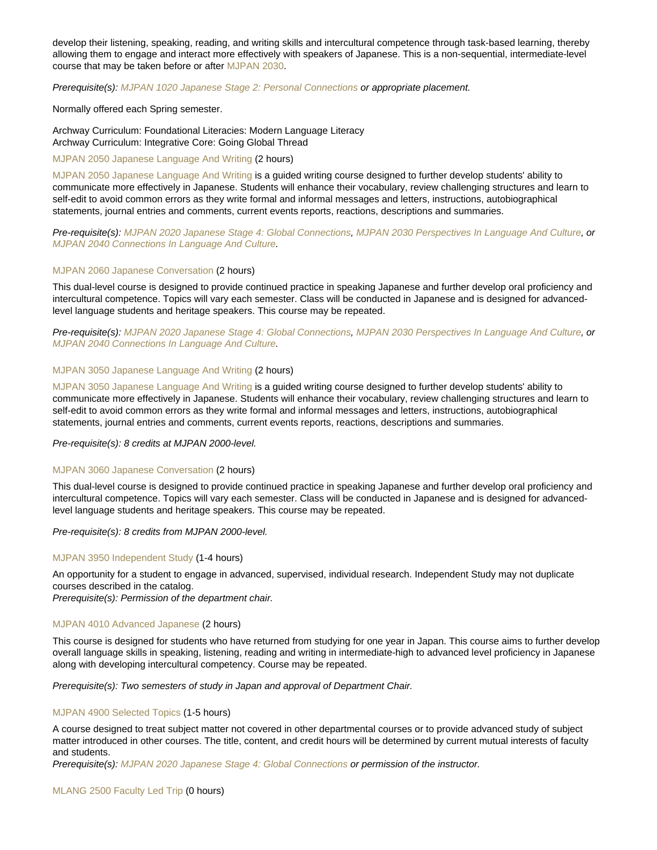develop their listening, speaking, reading, and writing skills and intercultural competence through task-based learning, thereby allowing them to engage and interact more effectively with speakers of Japanese. This is a non-sequential, intermediate-level course that may be taken before or after [MJPAN 2030.](https://catalog.nebrwesleyan.edu/cc/2021-2022/course/363570)

Prerequisite(s): [MJPAN 1020 Japanese Stage 2: Personal Connections](https://catalog.nebrwesleyan.edu/cc/2021-2022/course/362683) or appropriate placement.

Normally offered each Spring semester.

Archway Curriculum: Foundational Literacies: Modern Language Literacy Archway Curriculum: Integrative Core: Going Global Thread

## [MJPAN 2050 Japanese Language And Writing](https://catalog.nebrwesleyan.edu/node/363572) (2 hours)

[MJPAN 2050 Japanese Language And Writing](https://catalog.nebrwesleyan.edu/cc/2021-2022/course/363572) is a guided writing course designed to further develop students' ability to communicate more effectively in Japanese. Students will enhance their vocabulary, review challenging structures and learn to self-edit to avoid common errors as they write formal and informal messages and letters, instructions, autobiographical statements, journal entries and comments, current events reports, reactions, descriptions and summaries.

Pre-requisite(s): [MJPAN 2020 Japanese Stage 4: Global Connections](https://catalog.nebrwesleyan.edu/cc/2021-2022/course/362689), [MJPAN 2030 Perspectives In Language And Culture,](https://catalog.nebrwesleyan.edu/cc/2021-2022/course/363570) or [MJPAN 2040 Connections In Language And Culture](https://catalog.nebrwesleyan.edu/cc/2021-2022/course/363571).

#### [MJPAN 2060 Japanese Conversation](https://catalog.nebrwesleyan.edu/node/363573) (2 hours)

This dual-level course is designed to provide continued practice in speaking Japanese and further develop oral proficiency and intercultural competence. Topics will vary each semester. Class will be conducted in Japanese and is designed for advancedlevel language students and heritage speakers. This course may be repeated.

Pre-requisite(s): [MJPAN 2020 Japanese Stage 4: Global Connections](https://catalog.nebrwesleyan.edu/cc/2021-2022/course/362689), [MJPAN 2030 Perspectives In Language And Culture,](https://catalog.nebrwesleyan.edu/cc/2021-2022/course/363570) or [MJPAN 2040 Connections In Language And Culture](https://catalog.nebrwesleyan.edu/cc/2021-2022/course/363571).

## [MJPAN 3050 Japanese Language And Writing](https://catalog.nebrwesleyan.edu/node/363574) (2 hours)

[MJPAN 3050 Japanese Language And Writing](https://catalog.nebrwesleyan.edu/cc/2021-2022/course/363574) is a guided writing course designed to further develop students' ability to communicate more effectively in Japanese. Students will enhance their vocabulary, review challenging structures and learn to self-edit to avoid common errors as they write formal and informal messages and letters, instructions, autobiographical statements, journal entries and comments, current events reports, reactions, descriptions and summaries.

Pre-requisite(s): 8 credits at MJPAN 2000-level.

#### [MJPAN 3060 Japanese Conversation](https://catalog.nebrwesleyan.edu/node/363575) (2 hours)

This dual-level course is designed to provide continued practice in speaking Japanese and further develop oral proficiency and intercultural competence. Topics will vary each semester. Class will be conducted in Japanese and is designed for advancedlevel language students and heritage speakers. This course may be repeated.

Pre-requisite(s): 8 credits from MJPAN 2000-level.

#### [MJPAN 3950 Independent Study](https://catalog.nebrwesleyan.edu/node/362816) (1-4 hours)

An opportunity for a student to engage in advanced, supervised, individual research. Independent Study may not duplicate courses described in the catalog.

Prerequisite(s): Permission of the department chair.

## [MJPAN 4010 Advanced Japanese](https://catalog.nebrwesleyan.edu/node/363114) (2 hours)

This course is designed for students who have returned from studying for one year in Japan. This course aims to further develop overall language skills in speaking, listening, reading and writing in intermediate-high to advanced level proficiency in Japanese along with developing intercultural competency. Course may be repeated.

Prerequisite(s): Two semesters of study in Japan and approval of Department Chair.

## [MJPAN 4900 Selected Topics](https://catalog.nebrwesleyan.edu/node/362698) (1-5 hours)

A course designed to treat subject matter not covered in other departmental courses or to provide advanced study of subject matter introduced in other courses. The title, content, and credit hours will be determined by current mutual interests of faculty and students.

Prerequisite(s): [MJPAN 2020 Japanese Stage 4: Global Connections](https://catalog.nebrwesleyan.edu/cc/2021-2022/course/362689) or permission of the instructor.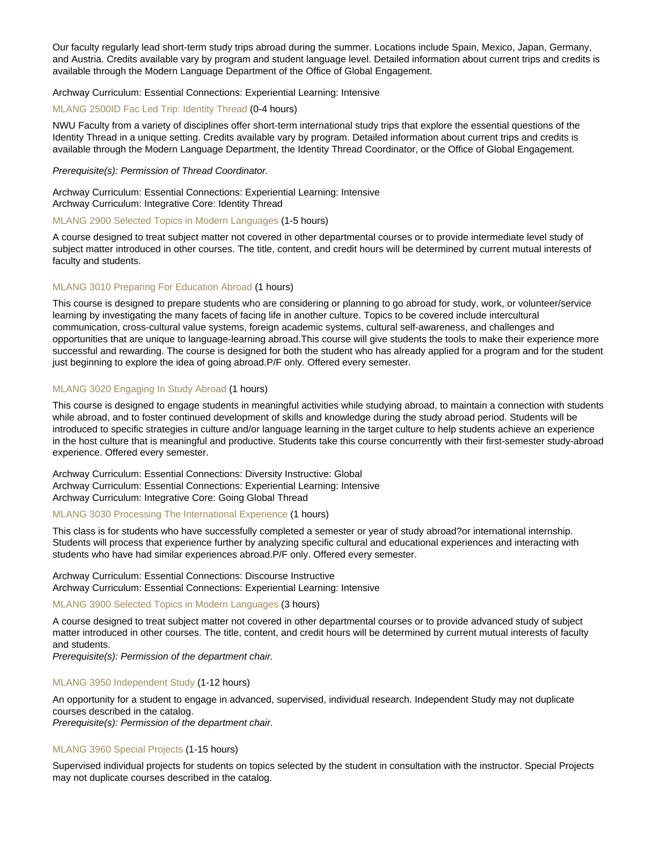Our faculty regularly lead short-term study trips abroad during the summer. Locations include Spain, Mexico, Japan, Germany, and Austria. Credits available vary by program and student language level. Detailed information about current trips and credits is available through the Modern Language Department of the Office of Global Engagement.

## Archway Curriculum: Essential Connections: Experiential Learning: Intensive

## [MLANG 2500ID Fac Led Trip: Identity Thread](https://catalog.nebrwesleyan.edu/node/363027) (0-4 hours)

NWU Faculty from a variety of disciplines offer short-term international study trips that explore the essential questions of the Identity Thread in a unique setting. Credits available vary by program. Detailed information about current trips and credits is available through the Modern Language Department, the Identity Thread Coordinator, or the Office of Global Engagement.

## Prerequisite(s): Permission of Thread Coordinator.

Archway Curriculum: Essential Connections: Experiential Learning: Intensive Archway Curriculum: Integrative Core: Identity Thread

#### [MLANG 2900 Selected Topics in Modern Languages](https://catalog.nebrwesleyan.edu/node/360537) (1-5 hours)

A course designed to treat subject matter not covered in other departmental courses or to provide intermediate level study of subject matter introduced in other courses. The title, content, and credit hours will be determined by current mutual interests of faculty and students.

## [MLANG 3010 Preparing For Education Abroad](https://catalog.nebrwesleyan.edu/node/363576) (1 hours)

This course is designed to prepare students who are considering or planning to go abroad for study, work, or volunteer/service learning by investigating the many facets of facing life in another culture. Topics to be covered include intercultural communication, cross-cultural value systems, foreign academic systems, cultural self-awareness, and challenges and opportunities that are unique to language-learning abroad.This course will give students the tools to make their experience more successful and rewarding. The course is designed for both the student who has already applied for a program and for the student just beginning to explore the idea of going abroad.P/F only. Offered every semester.

## [MLANG 3020 Engaging In Study Abroad](https://catalog.nebrwesleyan.edu/node/363577) (1 hours)

This course is designed to engage students in meaningful activities while studying abroad, to maintain a connection with students while abroad, and to foster continued development of skills and knowledge during the study abroad period. Students will be introduced to specific strategies in culture and/or language learning in the target culture to help students achieve an experience in the host culture that is meaningful and productive. Students take this course concurrently with their first-semester study-abroad experience. Offered every semester.

Archway Curriculum: Essential Connections: Diversity Instructive: Global Archway Curriculum: Essential Connections: Experiential Learning: Intensive Archway Curriculum: Integrative Core: Going Global Thread

## [MLANG 3030 Processing The International Experience](https://catalog.nebrwesleyan.edu/node/363578) (1 hours)

This class is for students who have successfully completed a semester or year of study abroad?or international internship. Students will process that experience further by analyzing specific cultural and educational experiences and interacting with students who have had similar experiences abroad.P/F only. Offered every semester.

Archway Curriculum: Essential Connections: Discourse Instructive Archway Curriculum: Essential Connections: Experiential Learning: Intensive

## [MLANG 3900 Selected Topics in Modern Languages](https://catalog.nebrwesleyan.edu/node/360540) (3 hours)

A course designed to treat subject matter not covered in other departmental courses or to provide advanced study of subject matter introduced in other courses. The title, content, and credit hours will be determined by current mutual interests of faculty and students.

Prerequisite(s): Permission of the department chair.

#### [MLANG 3950 Independent Study](https://catalog.nebrwesleyan.edu/node/360541) (1-12 hours)

An opportunity for a student to engage in advanced, supervised, individual research. Independent Study may not duplicate courses described in the catalog. Prerequisite(s): Permission of the department chair.

## [MLANG 3960 Special Projects](https://catalog.nebrwesleyan.edu/node/361527) (1-15 hours)

Supervised individual projects for students on topics selected by the student in consultation with the instructor. Special Projects may not duplicate courses described in the catalog.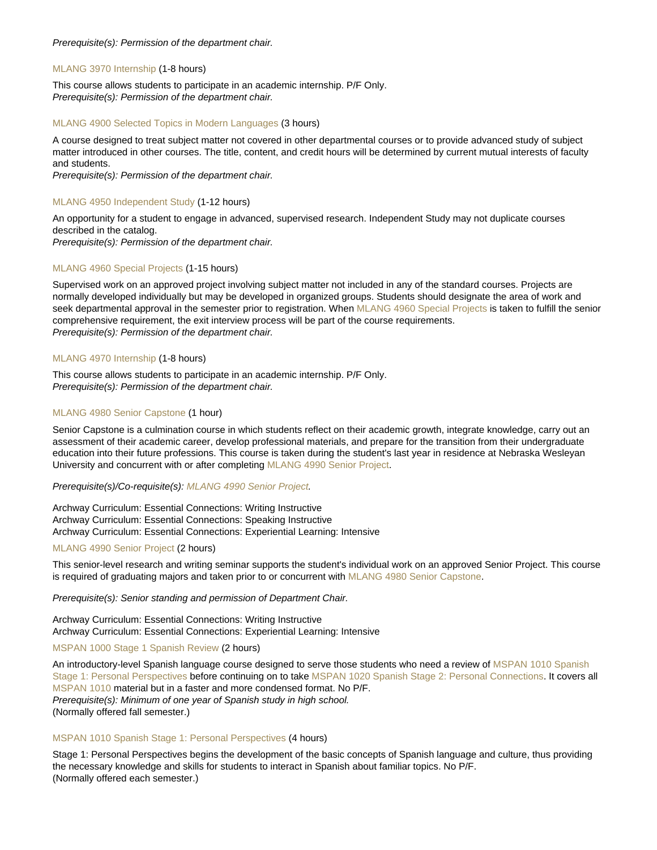## Prerequisite(s): Permission of the department chair.

## [MLANG 3970 Internship](https://catalog.nebrwesleyan.edu/node/361528) (1-8 hours)

This course allows students to participate in an academic internship. P/F Only. Prerequisite(s): Permission of the department chair.

## [MLANG 4900 Selected Topics in Modern Languages](https://catalog.nebrwesleyan.edu/node/360543) (3 hours)

A course designed to treat subject matter not covered in other departmental courses or to provide advanced study of subject matter introduced in other courses. The title, content, and credit hours will be determined by current mutual interests of faculty and students.

Prerequisite(s): Permission of the department chair.

## [MLANG 4950 Independent Study](https://catalog.nebrwesleyan.edu/node/360544) (1-12 hours)

An opportunity for a student to engage in advanced, supervised research. Independent Study may not duplicate courses described in the catalog.

Prerequisite(s): Permission of the department chair.

## [MLANG 4960 Special Projects](https://catalog.nebrwesleyan.edu/node/360545) (1-15 hours)

Supervised work on an approved project involving subject matter not included in any of the standard courses. Projects are normally developed individually but may be developed in organized groups. Students should designate the area of work and seek departmental approval in the semester prior to registration. When [MLANG 4960 Special Projects](https://catalog.nebrwesleyan.edu/cc/2021-2022/course/360545) is taken to fulfill the senior comprehensive requirement, the exit interview process will be part of the course requirements. Prerequisite(s): Permission of the department chair.

## [MLANG 4970 Internship](https://catalog.nebrwesleyan.edu/node/360546) (1-8 hours)

This course allows students to participate in an academic internship. P/F Only. Prerequisite(s): Permission of the department chair.

## [MLANG 4980 Senior Capstone](https://catalog.nebrwesleyan.edu/node/360751) (1 hour)

Senior Capstone is a culmination course in which students reflect on their academic growth, integrate knowledge, carry out an assessment of their academic career, develop professional materials, and prepare for the transition from their undergraduate education into their future professions. This course is taken during the student's last year in residence at Nebraska Wesleyan University and concurrent with or after completing [MLANG 4990 Senior Project.](https://catalog.nebrwesleyan.edu/cc/2021-2022/course/363579)

Prerequisite(s)/Co-requisite(s): [MLANG 4990 Senior Project.](https://catalog.nebrwesleyan.edu/cc/2021-2022/course/363579)

Archway Curriculum: Essential Connections: Writing Instructive Archway Curriculum: Essential Connections: Speaking Instructive Archway Curriculum: Essential Connections: Experiential Learning: Intensive

## [MLANG 4990 Senior Project](https://catalog.nebrwesleyan.edu/node/363579) (2 hours)

This senior-level research and writing seminar supports the student's individual work on an approved Senior Project. This course is required of graduating majors and taken prior to or concurrent with [MLANG 4980 Senior Capstone.](https://catalog.nebrwesleyan.edu/cc/2021-2022/course/360751)

Prerequisite(s): Senior standing and permission of Department Chair.

Archway Curriculum: Essential Connections: Writing Instructive Archway Curriculum: Essential Connections: Experiential Learning: Intensive

#### [MSPAN 1000 Stage 1 Spanish Review](https://catalog.nebrwesleyan.edu/node/362706) (2 hours)

An introductory-level Spanish language course designed to serve those students who need a review of [MSPAN 1010 Spanish](https://catalog.nebrwesleyan.edu/cc/2021-2022/course/362707) [Stage 1: Personal Perspectives](https://catalog.nebrwesleyan.edu/cc/2021-2022/course/362707) before continuing on to take [MSPAN 1020 Spanish Stage 2: Personal Connections.](https://catalog.nebrwesleyan.edu/cc/2021-2022/course/362708) It covers all [MSPAN 1010](https://catalog.nebrwesleyan.edu/cc/2021-2022/course/362707) material but in a faster and more condensed format. No P/F. Prerequisite(s): Minimum of one year of Spanish study in high school. (Normally offered fall semester.)

## [MSPAN 1010 Spanish Stage 1: Personal Perspectives](https://catalog.nebrwesleyan.edu/node/362707) (4 hours)

Stage 1: Personal Perspectives begins the development of the basic concepts of Spanish language and culture, thus providing the necessary knowledge and skills for students to interact in Spanish about familiar topics. No P/F. (Normally offered each semester.)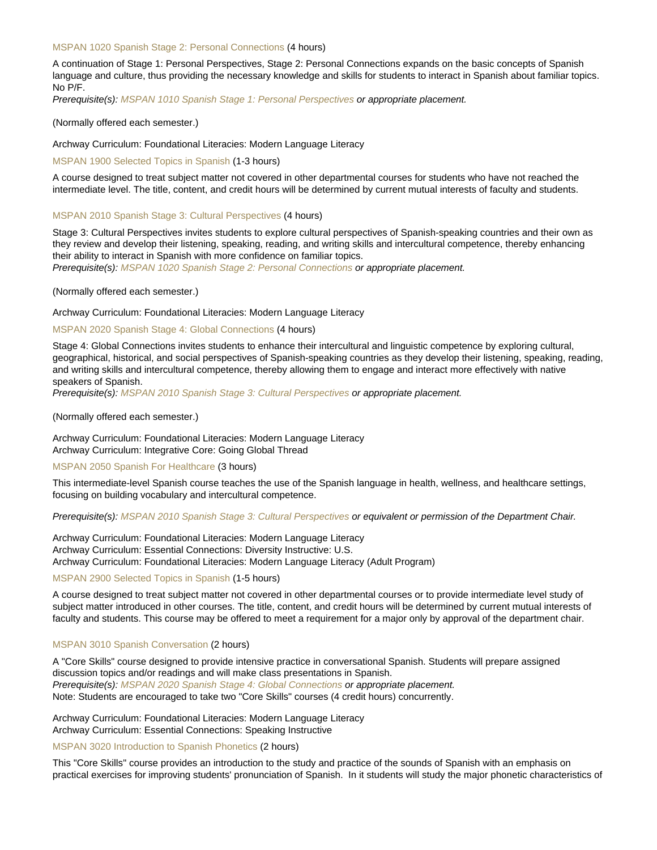## [MSPAN 1020 Spanish Stage 2: Personal Connections](https://catalog.nebrwesleyan.edu/node/362708) (4 hours)

A continuation of Stage 1: Personal Perspectives, Stage 2: Personal Connections expands on the basic concepts of Spanish language and culture, thus providing the necessary knowledge and skills for students to interact in Spanish about familiar topics. No P/F.

Prerequisite(s): [MSPAN 1010 Spanish Stage 1: Personal Perspectives](https://catalog.nebrwesleyan.edu/cc/2021-2022/course/362707) or appropriate placement.

#### (Normally offered each semester.)

Archway Curriculum: Foundational Literacies: Modern Language Literacy

[MSPAN 1900 Selected Topics in Spanish](https://catalog.nebrwesleyan.edu/node/362711) (1-3 hours)

A course designed to treat subject matter not covered in other departmental courses for students who have not reached the intermediate level. The title, content, and credit hours will be determined by current mutual interests of faculty and students.

## [MSPAN 2010 Spanish Stage 3: Cultural Perspectives](https://catalog.nebrwesleyan.edu/node/362804) (4 hours)

Stage 3: Cultural Perspectives invites students to explore cultural perspectives of Spanish-speaking countries and their own as they review and develop their listening, speaking, reading, and writing skills and intercultural competence, thereby enhancing their ability to interact in Spanish with more confidence on familiar topics.

Prerequisite(s): [MSPAN 1020 Spanish Stage 2: Personal Connections](https://catalog.nebrwesleyan.edu/cc/2021-2022/course/362708) or appropriate placement.

#### (Normally offered each semester.)

Archway Curriculum: Foundational Literacies: Modern Language Literacy

## [MSPAN 2020 Spanish Stage 4: Global Connections](https://catalog.nebrwesleyan.edu/node/362715) (4 hours)

Stage 4: Global Connections invites students to enhance their intercultural and linguistic competence by exploring cultural, geographical, historical, and social perspectives of Spanish-speaking countries as they develop their listening, speaking, reading, and writing skills and intercultural competence, thereby allowing them to engage and interact more effectively with native speakers of Spanish.

Prerequisite(s): [MSPAN 2010 Spanish Stage 3: Cultural Perspectives](https://catalog.nebrwesleyan.edu/cc/2021-2022/course/362804) or appropriate placement.

## (Normally offered each semester.)

Archway Curriculum: Foundational Literacies: Modern Language Literacy Archway Curriculum: Integrative Core: Going Global Thread

## [MSPAN 2050 Spanish For Healthcare](https://catalog.nebrwesleyan.edu/node/363115) (3 hours)

This intermediate-level Spanish course teaches the use of the Spanish language in health, wellness, and healthcare settings, focusing on building vocabulary and intercultural competence.

Prerequisite(s): [MSPAN 2010 Spanish Stage 3: Cultural Perspectives](https://catalog.nebrwesleyan.edu/cc/2021-2022/course/362804) or equivalent or permission of the Department Chair.

Archway Curriculum: Foundational Literacies: Modern Language Literacy Archway Curriculum: Essential Connections: Diversity Instructive: U.S. Archway Curriculum: Foundational Literacies: Modern Language Literacy (Adult Program)

## [MSPAN 2900 Selected Topics in Spanish](https://catalog.nebrwesleyan.edu/node/362716) (1-5 hours)

A course designed to treat subject matter not covered in other departmental courses or to provide intermediate level study of subject matter introduced in other courses. The title, content, and credit hours will be determined by current mutual interests of faculty and students. This course may be offered to meet a requirement for a major only by approval of the department chair.

#### [MSPAN 3010 Spanish Conversation](https://catalog.nebrwesleyan.edu/node/362720) (2 hours)

A "Core Skills" course designed to provide intensive practice in conversational Spanish. Students will prepare assigned discussion topics and/or readings and will make class presentations in Spanish. Prerequisite(s): [MSPAN 2020 Spanish Stage 4: Global Connections](https://catalog.nebrwesleyan.edu/cc/2021-2022/course/362715) or appropriate placement. Note: Students are encouraged to take two "Core Skills" courses (4 credit hours) concurrently.

Archway Curriculum: Foundational Literacies: Modern Language Literacy Archway Curriculum: Essential Connections: Speaking Instructive

#### [MSPAN 3020 Introduction to Spanish Phonetics](https://catalog.nebrwesleyan.edu/node/362721) (2 hours)

This "Core Skills" course provides an introduction to the study and practice of the sounds of Spanish with an emphasis on practical exercises for improving students' pronunciation of Spanish. In it students will study the major phonetic characteristics of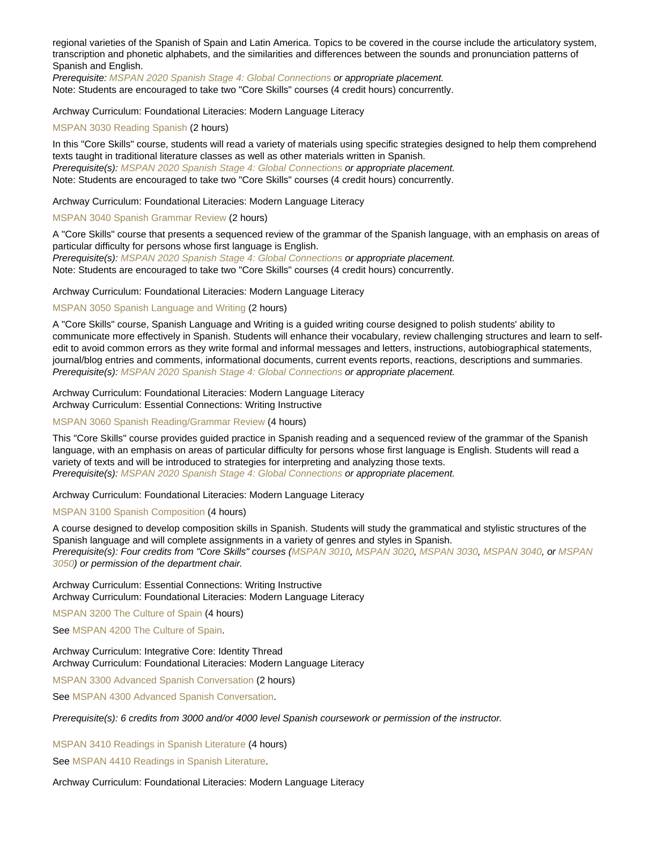regional varieties of the Spanish of Spain and Latin America. Topics to be covered in the course include the articulatory system, transcription and phonetic alphabets, and the similarities and differences between the sounds and pronunciation patterns of Spanish and English.

Prerequisite: [MSPAN 2020 Spanish Stage 4: Global Connections](https://catalog.nebrwesleyan.edu/cc/2021-2022/course/362715) or appropriate placement. Note: Students are encouraged to take two "Core Skills" courses (4 credit hours) concurrently.

Archway Curriculum: Foundational Literacies: Modern Language Literacy

## [MSPAN 3030 Reading Spanish](https://catalog.nebrwesleyan.edu/node/362722) (2 hours)

In this "Core Skills" course, students will read a variety of materials using specific strategies designed to help them comprehend texts taught in traditional literature classes as well as other materials written in Spanish. Prerequisite(s): [MSPAN 2020 Spanish Stage 4: Global Connections](https://catalog.nebrwesleyan.edu/cc/2021-2022/course/362715) or appropriate placement. Note: Students are encouraged to take two "Core Skills" courses (4 credit hours) concurrently.

Archway Curriculum: Foundational Literacies: Modern Language Literacy

## [MSPAN 3040 Spanish Grammar Review](https://catalog.nebrwesleyan.edu/node/362723) (2 hours)

A "Core Skills" course that presents a sequenced review of the grammar of the Spanish language, with an emphasis on areas of particular difficulty for persons whose first language is English.

Prerequisite(s): [MSPAN 2020 Spanish Stage 4: Global Connections](https://catalog.nebrwesleyan.edu/cc/2021-2022/course/362715) or appropriate placement. Note: Students are encouraged to take two "Core Skills" courses (4 credit hours) concurrently.

#### Archway Curriculum: Foundational Literacies: Modern Language Literacy

## [MSPAN 3050 Spanish Language and Writing](https://catalog.nebrwesleyan.edu/node/362724) (2 hours)

A "Core Skills" course, Spanish Language and Writing is a guided writing course designed to polish students' ability to communicate more effectively in Spanish. Students will enhance their vocabulary, review challenging structures and learn to selfedit to avoid common errors as they write formal and informal messages and letters, instructions, autobiographical statements, journal/blog entries and comments, informational documents, current events reports, reactions, descriptions and summaries. Prerequisite(s): [MSPAN 2020 Spanish Stage 4: Global Connections](https://catalog.nebrwesleyan.edu/cc/2021-2022/course/362715) or appropriate placement.

Archway Curriculum: Foundational Literacies: Modern Language Literacy Archway Curriculum: Essential Connections: Writing Instructive

#### [MSPAN 3060 Spanish Reading/Grammar Review](https://catalog.nebrwesleyan.edu/node/362778) (4 hours)

This "Core Skills" course provides guided practice in Spanish reading and a sequenced review of the grammar of the Spanish language, with an emphasis on areas of particular difficulty for persons whose first language is English. Students will read a variety of texts and will be introduced to strategies for interpreting and analyzing those texts. Prerequisite(s): [MSPAN 2020 Spanish Stage 4: Global Connections](https://catalog.nebrwesleyan.edu/cc/2021-2022/course/362715) or appropriate placement.

#### Archway Curriculum: Foundational Literacies: Modern Language Literacy

## [MSPAN 3100 Spanish Composition](https://catalog.nebrwesleyan.edu/node/362779) (4 hours)

A course designed to develop composition skills in Spanish. Students will study the grammatical and stylistic structures of the Spanish language and will complete assignments in a variety of genres and styles in Spanish. Prerequisite(s): Four credits from "Core Skills" courses ([MSPAN 3010](https://catalog.nebrwesleyan.edu/cc/2021-2022/course/362720), [MSPAN 3020,](https://catalog.nebrwesleyan.edu/cc/2021-2022/course/362721) [MSPAN 3030,](https://catalog.nebrwesleyan.edu/cc/2021-2022/course/362722) [MSPAN 3040](https://catalog.nebrwesleyan.edu/cc/2021-2022/course/362723), or [MSPAN](https://catalog.nebrwesleyan.edu/cc/2021-2022/course/362724) [3050](https://catalog.nebrwesleyan.edu/cc/2021-2022/course/362724)) or permission of the department chair.

Archway Curriculum: Essential Connections: Writing Instructive Archway Curriculum: Foundational Literacies: Modern Language Literacy

[MSPAN 3200 The Culture of Spain](https://catalog.nebrwesleyan.edu/node/362725) (4 hours)

See [MSPAN 4200 The Culture of Spain](https://catalog.nebrwesleyan.edu/cc/2021-2022/course/362744).

## Archway Curriculum: Integrative Core: Identity Thread Archway Curriculum: Foundational Literacies: Modern Language Literacy

[MSPAN 3300 Advanced Spanish Conversation](https://catalog.nebrwesleyan.edu/node/363513) (2 hours)

See [MSPAN 4300 Advanced Spanish Conversation](https://catalog.nebrwesleyan.edu/cc/2021-2022/course/363514).

Prerequisite(s): 6 credits from 3000 and/or 4000 level Spanish coursework or permission of the instructor.

[MSPAN 3410 Readings in Spanish Literature](https://catalog.nebrwesleyan.edu/node/362729) (4 hours)

See [MSPAN 4410 Readings in Spanish Literature.](https://catalog.nebrwesleyan.edu/cc/2021-2022/course/362748)

Archway Curriculum: Foundational Literacies: Modern Language Literacy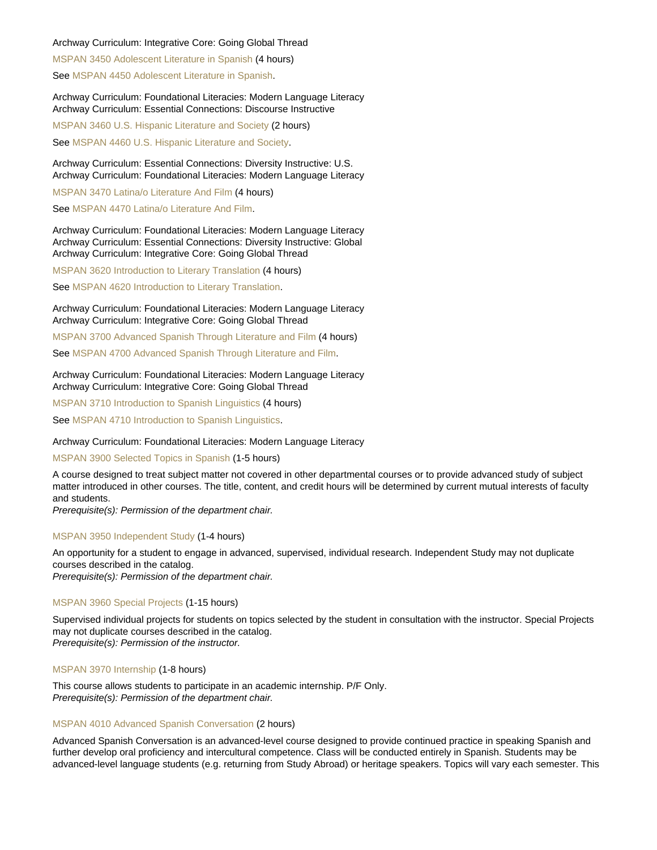## Archway Curriculum: Integrative Core: Going Global Thread

[MSPAN 3450 Adolescent Literature in Spanish](https://catalog.nebrwesleyan.edu/node/362733) (4 hours) See [MSPAN 4450 Adolescent Literature in Spanish](https://catalog.nebrwesleyan.edu/cc/2021-2022/course/362752).

Archway Curriculum: Foundational Literacies: Modern Language Literacy Archway Curriculum: Essential Connections: Discourse Instructive

[MSPAN 3460 U.S. Hispanic Literature and Society](https://catalog.nebrwesleyan.edu/node/362888) (2 hours)

See [MSPAN 4460 U.S. Hispanic Literature and Society](https://catalog.nebrwesleyan.edu/cc/2021-2022/course/362889).

Archway Curriculum: Essential Connections: Diversity Instructive: U.S. Archway Curriculum: Foundational Literacies: Modern Language Literacy

[MSPAN 3470 Latina/o Literature And Film](https://catalog.nebrwesleyan.edu/node/363580) (4 hours)

See [MSPAN 4470 Latina/o Literature And Film](https://catalog.nebrwesleyan.edu/cc/2021-2022/course/363581).

Archway Curriculum: Foundational Literacies: Modern Language Literacy Archway Curriculum: Essential Connections: Diversity Instructive: Global Archway Curriculum: Integrative Core: Going Global Thread

[MSPAN 3620 Introduction to Literary Translation](https://catalog.nebrwesleyan.edu/node/362736) (4 hours)

See [MSPAN 4620 Introduction to Literary Translation](https://catalog.nebrwesleyan.edu/cc/2021-2022/course/362755).

#### Archway Curriculum: Foundational Literacies: Modern Language Literacy Archway Curriculum: Integrative Core: Going Global Thread

[MSPAN 3700 Advanced Spanish Through Literature and Film](https://catalog.nebrwesleyan.edu/node/362737) (4 hours)

See [MSPAN 4700 Advanced Spanish Through Literature and Film](https://catalog.nebrwesleyan.edu/cc/2021-2022/course/362756).

Archway Curriculum: Foundational Literacies: Modern Language Literacy Archway Curriculum: Integrative Core: Going Global Thread

[MSPAN 3710 Introduction to Spanish Linguistics](https://catalog.nebrwesleyan.edu/node/362738) (4 hours)

See [MSPAN 4710 Introduction to Spanish Linguistics](https://catalog.nebrwesleyan.edu/cc/2021-2022/course/362757).

## Archway Curriculum: Foundational Literacies: Modern Language Literacy

#### [MSPAN 3900 Selected Topics in Spanish](https://catalog.nebrwesleyan.edu/node/362739) (1-5 hours)

A course designed to treat subject matter not covered in other departmental courses or to provide advanced study of subject matter introduced in other courses. The title, content, and credit hours will be determined by current mutual interests of faculty and students.

Prerequisite(s): Permission of the department chair.

## [MSPAN 3950 Independent Study](https://catalog.nebrwesleyan.edu/node/362740) (1-4 hours)

An opportunity for a student to engage in advanced, supervised, individual research. Independent Study may not duplicate courses described in the catalog. Prerequisite(s): Permission of the department chair.

## [MSPAN 3960 Special Projects](https://catalog.nebrwesleyan.edu/node/362741) (1-15 hours)

Supervised individual projects for students on topics selected by the student in consultation with the instructor. Special Projects may not duplicate courses described in the catalog. Prerequisite(s): Permission of the instructor.

[MSPAN 3970 Internship](https://catalog.nebrwesleyan.edu/node/362742) (1-8 hours)

This course allows students to participate in an academic internship. P/F Only. Prerequisite(s): Permission of the department chair.

#### [MSPAN 4010 Advanced Spanish Conversation](https://catalog.nebrwesleyan.edu/node/363016) (2 hours)

Advanced Spanish Conversation is an advanced-level course designed to provide continued practice in speaking Spanish and further develop oral proficiency and intercultural competence. Class will be conducted entirely in Spanish. Students may be advanced-level language students (e.g. returning from Study Abroad) or heritage speakers. Topics will vary each semester. This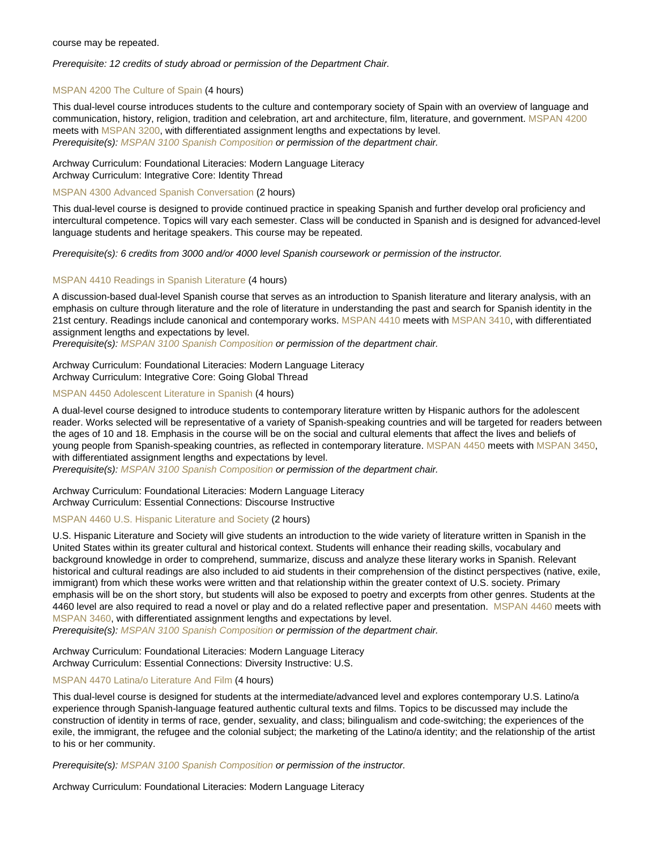#### course may be repeated.

Prerequisite: 12 credits of study abroad or permission of the Department Chair.

## [MSPAN 4200 The Culture of Spain](https://catalog.nebrwesleyan.edu/node/362744) (4 hours)

This dual-level course introduces students to the culture and contemporary society of Spain with an overview of language and communication, history, religion, tradition and celebration, art and architecture, film, literature, and government. [MSPAN 4200](https://catalog.nebrwesleyan.edu/cc/2021-2022/course/362744) meets with [MSPAN 3200](https://catalog.nebrwesleyan.edu/cc/2021-2022/course/362725), with differentiated assignment lengths and expectations by level. Prerequisite(s): [MSPAN 3100 Spanish Composition](https://catalog.nebrwesleyan.edu/cc/2021-2022/course/362779) or permission of the department chair.

#### Archway Curriculum: Foundational Literacies: Modern Language Literacy Archway Curriculum: Integrative Core: Identity Thread

#### [MSPAN 4300 Advanced Spanish Conversation](https://catalog.nebrwesleyan.edu/node/363514) (2 hours)

This dual-level course is designed to provide continued practice in speaking Spanish and further develop oral proficiency and intercultural competence. Topics will vary each semester. Class will be conducted in Spanish and is designed for advanced-level language students and heritage speakers. This course may be repeated.

Prerequisite(s): 6 credits from 3000 and/or 4000 level Spanish coursework or permission of the instructor.

## [MSPAN 4410 Readings in Spanish Literature](https://catalog.nebrwesleyan.edu/node/362748) (4 hours)

A discussion-based dual-level Spanish course that serves as an introduction to Spanish literature and literary analysis, with an emphasis on culture through literature and the role of literature in understanding the past and search for Spanish identity in the 21st century. Readings include canonical and contemporary works. [MSPAN 4410](https://catalog.nebrwesleyan.edu/cc/2021-2022/course/362748) meets with [MSPAN 3410,](https://catalog.nebrwesleyan.edu/cc/2021-2022/course/362729) with differentiated assignment lengths and expectations by level.

Prerequisite(s): [MSPAN 3100 Spanish Composition](https://catalog.nebrwesleyan.edu/cc/2021-2022/course/362779) or permission of the department chair.

Archway Curriculum: Foundational Literacies: Modern Language Literacy Archway Curriculum: Integrative Core: Going Global Thread

## [MSPAN 4450 Adolescent Literature in Spanish](https://catalog.nebrwesleyan.edu/node/362752) (4 hours)

A dual-level course designed to introduce students to contemporary literature written by Hispanic authors for the adolescent reader. Works selected will be representative of a variety of Spanish-speaking countries and will be targeted for readers between the ages of 10 and 18. Emphasis in the course will be on the social and cultural elements that affect the lives and beliefs of young people from Spanish-speaking countries, as reflected in contemporary literature. [MSPAN 4450](https://catalog.nebrwesleyan.edu/cc/2021-2022/course/362752) meets with [MSPAN 3450,](https://catalog.nebrwesleyan.edu/cc/2021-2022/course/362733) with differentiated assignment lengths and expectations by level.

Prerequisite(s): [MSPAN 3100 Spanish Composition](https://catalog.nebrwesleyan.edu/cc/2021-2022/course/362779) or permission of the department chair.

Archway Curriculum: Foundational Literacies: Modern Language Literacy Archway Curriculum: Essential Connections: Discourse Instructive

#### [MSPAN 4460 U.S. Hispanic Literature and Society](https://catalog.nebrwesleyan.edu/node/362889) (2 hours)

U.S. Hispanic Literature and Society will give students an introduction to the wide variety of literature written in Spanish in the United States within its greater cultural and historical context. Students will enhance their reading skills, vocabulary and background knowledge in order to comprehend, summarize, discuss and analyze these literary works in Spanish. Relevant historical and cultural readings are also included to aid students in their comprehension of the distinct perspectives (native, exile, immigrant) from which these works were written and that relationship within the greater context of U.S. society. Primary emphasis will be on the short story, but students will also be exposed to poetry and excerpts from other genres. Students at the 4460 level are also required to read a novel or play and do a related reflective paper and presentation. [MSPAN 4460](https://catalog.nebrwesleyan.edu/cc/2021-2022/course/362889) meets with [MSPAN 3460,](https://catalog.nebrwesleyan.edu/cc/2021-2022/course/362888) with differentiated assignment lengths and expectations by level.

Prerequisite(s): [MSPAN 3100 Spanish Composition](https://catalog.nebrwesleyan.edu/cc/2021-2022/course/362779) or permission of the department chair.

Archway Curriculum: Foundational Literacies: Modern Language Literacy Archway Curriculum: Essential Connections: Diversity Instructive: U.S.

## [MSPAN 4470 Latina/o Literature And Film](https://catalog.nebrwesleyan.edu/node/363581) (4 hours)

This dual-level course is designed for students at the intermediate/advanced level and explores contemporary U.S. Latino/a experience through Spanish-language featured authentic cultural texts and films. Topics to be discussed may include the construction of identity in terms of race, gender, sexuality, and class; bilingualism and code-switching; the experiences of the exile, the immigrant, the refugee and the colonial subject; the marketing of the Latino/a identity; and the relationship of the artist to his or her community.

Prerequisite(s): [MSPAN 3100 Spanish Composition](https://catalog.nebrwesleyan.edu/cc/2021-2022/course/362779) or permission of the instructor.

Archway Curriculum: Foundational Literacies: Modern Language Literacy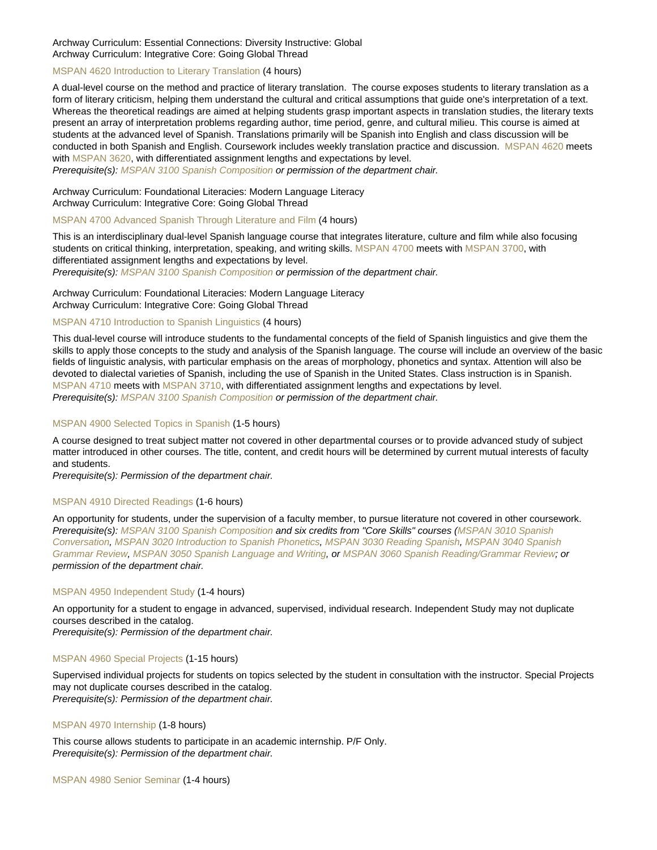## Archway Curriculum: Essential Connections: Diversity Instructive: Global Archway Curriculum: Integrative Core: Going Global Thread

## [MSPAN 4620 Introduction to Literary Translation](https://catalog.nebrwesleyan.edu/node/362755) (4 hours)

A dual-level course on the method and practice of literary translation. The course exposes students to literary translation as a form of literary criticism, helping them understand the cultural and critical assumptions that guide one's interpretation of a text. Whereas the theoretical readings are aimed at helping students grasp important aspects in translation studies, the literary texts present an array of interpretation problems regarding author, time period, genre, and cultural milieu. This course is aimed at students at the advanced level of Spanish. Translations primarily will be Spanish into English and class discussion will be conducted in both Spanish and English. Coursework includes weekly translation practice and discussion. [MSPAN 4620](https://catalog.nebrwesleyan.edu/cc/2021-2022/course/362755) meets with [MSPAN 3620](https://catalog.nebrwesleyan.edu/cc/2021-2022/course/362736), with differentiated assignment lengths and expectations by level.

Prerequisite(s): [MSPAN 3100 Spanish Composition](https://catalog.nebrwesleyan.edu/cc/2021-2022/course/362779) or permission of the department chair.

Archway Curriculum: Foundational Literacies: Modern Language Literacy Archway Curriculum: Integrative Core: Going Global Thread

#### [MSPAN 4700 Advanced Spanish Through Literature and Film](https://catalog.nebrwesleyan.edu/node/362756) (4 hours)

This is an interdisciplinary dual-level Spanish language course that integrates literature, culture and film while also focusing students on critical thinking, interpretation, speaking, and writing skills. [MSPAN 4700](https://catalog.nebrwesleyan.edu/cc/2021-2022/course/362756) meets with [MSPAN 3700](https://catalog.nebrwesleyan.edu/cc/2021-2022/course/362737), with differentiated assignment lengths and expectations by level. Prerequisite(s): [MSPAN 3100 Spanish Composition](https://catalog.nebrwesleyan.edu/cc/2021-2022/course/362779) or permission of the department chair.

Archway Curriculum: Foundational Literacies: Modern Language Literacy Archway Curriculum: Integrative Core: Going Global Thread

## [MSPAN 4710 Introduction to Spanish Linguistics](https://catalog.nebrwesleyan.edu/node/362757) (4 hours)

This dual-level course will introduce students to the fundamental concepts of the field of Spanish linguistics and give them the skills to apply those concepts to the study and analysis of the Spanish language. The course will include an overview of the basic fields of linguistic analysis, with particular emphasis on the areas of morphology, phonetics and syntax. Attention will also be devoted to dialectal varieties of Spanish, including the use of Spanish in the United States. Class instruction is in Spanish. [MSPAN 4710](https://catalog.nebrwesleyan.edu/cc/2021-2022/course/362757) meets with [MSPAN 3710](https://catalog.nebrwesleyan.edu/cc/2021-2022/course/362738), with differentiated assignment lengths and expectations by level. Prerequisite(s): [MSPAN 3100 Spanish Composition](https://catalog.nebrwesleyan.edu/cc/2021-2022/course/362779) or permission of the department chair.

## [MSPAN 4900 Selected Topics in Spanish](https://catalog.nebrwesleyan.edu/node/362758) (1-5 hours)

A course designed to treat subject matter not covered in other departmental courses or to provide advanced study of subject matter introduced in other courses. The title, content, and credit hours will be determined by current mutual interests of faculty and students.

Prerequisite(s): Permission of the department chair.

## [MSPAN 4910 Directed Readings](https://catalog.nebrwesleyan.edu/node/362759) (1-6 hours)

An opportunity for students, under the supervision of a faculty member, to pursue literature not covered in other coursework. Prerequisite(s): [MSPAN 3100 Spanish Composition](https://catalog.nebrwesleyan.edu/cc/2021-2022/course/362779) and six credits from "Core Skills" courses ([MSPAN 3010 Spanish](https://catalog.nebrwesleyan.edu/cc/2021-2022/course/362720) [Conversation](https://catalog.nebrwesleyan.edu/cc/2021-2022/course/362720), [MSPAN 3020 Introduction to Spanish Phonetics](https://catalog.nebrwesleyan.edu/cc/2021-2022/course/362721), [MSPAN 3030 Reading Spanish,](https://catalog.nebrwesleyan.edu/cc/2021-2022/course/362722) [MSPAN 3040 Spanish](https://catalog.nebrwesleyan.edu/cc/2021-2022/course/362723) [Grammar Review](https://catalog.nebrwesleyan.edu/cc/2021-2022/course/362723), [MSPAN 3050 Spanish Language and Writing](https://catalog.nebrwesleyan.edu/cc/2021-2022/course/362724), or [MSPAN 3060 Spanish Reading/Grammar Review;](https://catalog.nebrwesleyan.edu/cc/2021-2022/course/362778) or permission of the department chair.

## [MSPAN 4950 Independent Study](https://catalog.nebrwesleyan.edu/node/362760) (1-4 hours)

An opportunity for a student to engage in advanced, supervised, individual research. Independent Study may not duplicate courses described in the catalog.

Prerequisite(s): Permission of the department chair.

## [MSPAN 4960 Special Projects](https://catalog.nebrwesleyan.edu/node/362761) (1-15 hours)

Supervised individual projects for students on topics selected by the student in consultation with the instructor. Special Projects may not duplicate courses described in the catalog. Prerequisite(s): Permission of the department chair.

#### [MSPAN 4970 Internship](https://catalog.nebrwesleyan.edu/node/362762) (1-8 hours)

This course allows students to participate in an academic internship. P/F Only. Prerequisite(s): Permission of the department chair.

[MSPAN 4980 Senior Seminar](https://catalog.nebrwesleyan.edu/node/362763) (1-4 hours)